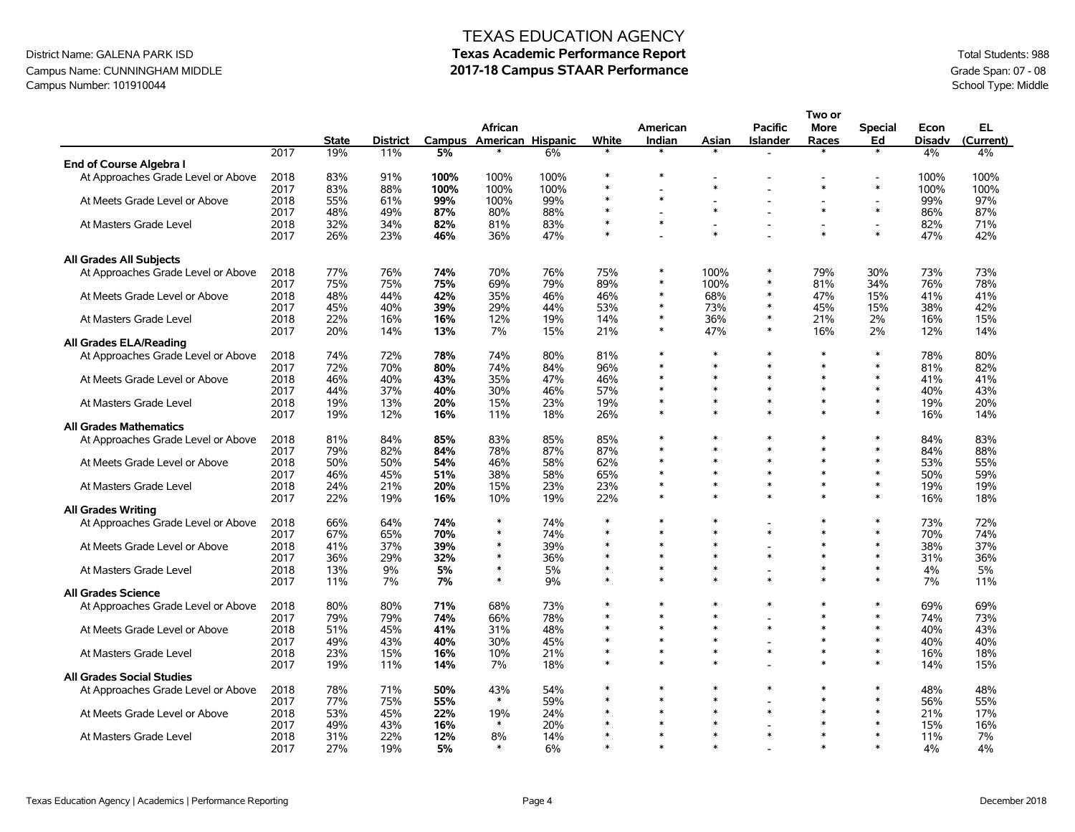#### District Name: GALENA PARK ISD **Texas Academic Performance Report** Total Students: 988 Campus Name: CUNNINGHAM MIDDLE **2017-18 Campus STAAR Performance** Grade Span: 07 - 08<br>Campus Number: 101910044 School Type: Middle Campus Number: 101910044

# TEXAS EDUCATION AGENCY

|                                    |      |              |                 |      |                                     |      |        |                    |                  |                                   | Two or                   |                      |                       |                 |
|------------------------------------|------|--------------|-----------------|------|-------------------------------------|------|--------|--------------------|------------------|-----------------------------------|--------------------------|----------------------|-----------------------|-----------------|
|                                    |      | <b>State</b> | <b>District</b> |      | African<br>Campus American Hispanic |      | White  | American<br>Indian | Asian            | <b>Pacific</b><br><b>Islander</b> | <b>More</b><br>Races     | <b>Special</b><br>Ed | Econ<br><b>Disadv</b> | EL<br>(Current) |
|                                    | 2017 | 19%          | 11%             | 5%   |                                     | 6%   |        |                    |                  |                                   |                          |                      | 4%                    | 4%              |
| End of Course Algebra I            |      |              |                 |      |                                     |      |        |                    |                  |                                   |                          |                      |                       |                 |
| At Approaches Grade Level or Above | 2018 | 83%          | 91%             | 100% | 100%                                | 100% |        |                    |                  |                                   |                          |                      | 100%                  | 100%            |
|                                    | 2017 | 83%          | 88%             | 100% | 100%                                | 100% | $\ast$ |                    | $\ast$           |                                   | $\ast$                   | $\ast$               | 100%                  | 100%            |
| At Meets Grade Level or Above      | 2018 | 55%          | 61%             | 99%  | 100%                                | 99%  | $\ast$ | $\ast$             |                  |                                   |                          |                      | 99%                   | 97%             |
|                                    | 2017 | 48%          | 49%             | 87%  | 80%                                 | 88%  |        |                    | $\ast$           |                                   | $\ast$                   | $\ast$               | 86%                   | 87%             |
| At Masters Grade Level             | 2018 | 32%          | 34%             | 82%  | 81%                                 | 83%  | $\ast$ | $\ast$             | $\sim$           |                                   | $\overline{\phantom{a}}$ | $\blacksquare$       | 82%                   | 71%             |
|                                    | 2017 | 26%          | 23%             | 46%  | 36%                                 | 47%  |        |                    | $\ast$           |                                   | $\ast$                   | $\ast$               | 47%                   | 42%             |
| <b>All Grades All Subjects</b>     |      |              |                 |      |                                     |      |        |                    |                  |                                   |                          |                      |                       |                 |
| At Approaches Grade Level or Above | 2018 | 77%          | 76%             | 74%  | 70%                                 | 76%  | 75%    |                    | 100%             |                                   | 79%                      | 30%                  | 73%                   | 73%             |
|                                    | 2017 | 75%          | 75%             | 75%  | 69%                                 | 79%  | 89%    | $\ast$             | 100%             | $\ast$                            | 81%                      | 34%                  | 76%                   | 78%             |
| At Meets Grade Level or Above      | 2018 | 48%          | 44%             | 42%  | 35%                                 | 46%  | 46%    | $\ast$             | 68%              |                                   | 47%                      | 15%                  | 41%                   | 41%             |
|                                    | 2017 | 45%          | 40%             | 39%  | 29%                                 | 44%  | 53%    | $\ast$             | 73%              |                                   | 45%                      | 15%                  | 38%                   | 42%             |
| At Masters Grade Level             | 2018 | 22%          | 16%             | 16%  | 12%                                 | 19%  | 14%    | $\ast$             | 36%              | $\ast$                            | 21%                      | 2%                   | 16%                   | 15%             |
|                                    | 2017 | 20%          | 14%             | 13%  | 7%                                  | 15%  | 21%    | $\ast$             | 47%              |                                   | 16%                      | 2%                   | 12%                   | 14%             |
| <b>All Grades ELA/Reading</b>      |      |              |                 |      |                                     |      |        |                    |                  |                                   |                          |                      |                       |                 |
| At Approaches Grade Level or Above | 2018 | 74%          | 72%             | 78%  | 74%                                 | 80%  | 81%    | $\ast$             | $\ast$           | $\ast$                            | $\ast$                   | $\ast$               | 78%                   | 80%             |
|                                    | 2017 | 72%          | 70%             | 80%  | 74%                                 | 84%  | 96%    | $\ast$             | $\ast$           | $\ast$                            | $\ast$                   | $\ast$               | 81%                   | 82%             |
| At Meets Grade Level or Above      | 2018 | 46%          | 40%             | 43%  | 35%                                 | 47%  | 46%    | $\ast$             | $\ast$           | $\ast$                            | $\ast$                   | $\ast$               | 41%                   | 41%             |
|                                    | 2017 | 44%          | 37%             | 40%  | 30%                                 | 46%  | 57%    | $\ast$             | $\ast$           | $\ast$                            | $\ast$                   | $\ast$               | 40%                   | 43%             |
| At Masters Grade Level             | 2018 | 19%          | 13%             | 20%  | 15%                                 | 23%  | 19%    | $\ast$             | $\ast$           | $\ast$                            | $\ast$                   | $\ast$               | 19%                   | 20%             |
|                                    | 2017 | 19%          | 12%             | 16%  | 11%                                 | 18%  | 26%    | $\ast$             | $\ast$           | $\ast$                            | $\ast$                   | $\ast$               | 16%                   | 14%             |
| <b>All Grades Mathematics</b>      |      |              |                 |      |                                     |      |        |                    |                  |                                   |                          |                      |                       |                 |
|                                    | 2018 | 81%          | 84%             | 85%  | 83%                                 | 85%  | 85%    |                    | $\ast$           |                                   | $\ast$                   | $\ast$               | 84%                   | 83%             |
| At Approaches Grade Level or Above |      |              |                 |      |                                     |      |        | $\ast$             | $\ast$           | $\ast$                            | $\ast$                   | $\ast$               |                       |                 |
|                                    | 2017 | 79%          | 82%             | 84%  | 78%                                 | 87%  | 87%    | $\ast$             | $\ast$           | $\ast$                            | $\ast$                   | $\ast$               | 84%                   | 88%             |
| At Meets Grade Level or Above      | 2018 | 50%          | 50%             | 54%  | 46%                                 | 58%  | 62%    | $\ast$             | $\ast$           | $\ast$                            | $\ast$                   | $\ast$               | 53%                   | 55%             |
|                                    | 2017 | 46%          | 45%             | 51%  | 38%                                 | 58%  | 65%    | $\ast$             | $\ast$           | $\ast$                            | $\ast$                   | $\ast$               | 50%                   | 59%             |
| At Masters Grade Level             | 2018 | 24%          | 21%             | 20%  | 15%                                 | 23%  | 23%    | $\ast$             | $\star$          | $\star$                           | $\star$                  | $\ast$               | 19%                   | 19%             |
|                                    | 2017 | 22%          | 19%             | 16%  | 10%                                 | 19%  | 22%    |                    |                  |                                   |                          |                      | 16%                   | 18%             |
| <b>All Grades Writing</b>          |      |              |                 |      |                                     |      |        |                    |                  |                                   |                          |                      |                       |                 |
| At Approaches Grade Level or Above | 2018 | 66%          | 64%             | 74%  | $\ast$                              | 74%  |        | $\ast$             | $\ast$<br>$\ast$ |                                   | $\ast$                   | $\ast$               | 73%                   | 72%             |
|                                    | 2017 | 67%          | 65%             | 70%  | $\ast$                              | 74%  | $\ast$ | $\ast$             |                  | $\ast$                            | $\ast$                   | $\ast$               | 70%                   | 74%             |
| At Meets Grade Level or Above      | 2018 | 41%          | 37%             | 39%  | $\ast$                              | 39%  | $\ast$ | $\ast$             | $\ast$<br>$\ast$ |                                   | $\ast$                   | $\ast$               | 38%                   | 37%             |
|                                    | 2017 | 36%          | 29%             | 32%  |                                     | 36%  |        | $\ast$             |                  | $\ast$                            | $\ast$                   | $\ast$               | 31%                   | 36%             |
| At Masters Grade Level             | 2018 | 13%          | 9%              | 5%   | $\ast$                              | 5%   | $\ast$ | $\ast$             | $\ast$           |                                   | $\ast$                   | $\ast$               | 4%                    | 5%              |
|                                    | 2017 | 11%          | 7%              | 7%   | $\ast$                              | 9%   |        |                    | $\ast$           |                                   | $\ast$                   | $\ast$               | 7%                    | 11%             |
| <b>All Grades Science</b>          |      |              |                 |      |                                     |      |        |                    |                  |                                   |                          |                      |                       |                 |
| At Approaches Grade Level or Above | 2018 | 80%          | 80%             | 71%  | 68%                                 | 73%  |        | $\ast$             | $\ast$           | $\ast$                            | $\ast$                   | $\ast$               | 69%                   | 69%             |
|                                    | 2017 | 79%          | 79%             | 74%  | 66%                                 | 78%  |        | $\ast$             | $\ast$           |                                   | $\ast$                   | $\ast$               | 74%                   | 73%             |
| At Meets Grade Level or Above      | 2018 | 51%          | 45%             | 41%  | 31%                                 | 48%  | $\ast$ | $\ast$             | $\ast$           | $\ast$                            | $\ast$                   | $\ast$               | 40%                   | 43%             |
|                                    | 2017 | 49%          | 43%             | 40%  | 30%                                 | 45%  | $\ast$ | $\ast$             | $\ast$           |                                   | $\ast$                   | $\ast$               | 40%                   | 40%             |
| At Masters Grade Level             | 2018 | 23%          | 15%             | 16%  | 10%                                 | 21%  |        | $\ast$             | $\ast$           | $\ast$                            | $\ast$                   | $\ast$               | 16%                   | 18%             |
|                                    | 2017 | 19%          | 11%             | 14%  | 7%                                  | 18%  | $\ast$ | $\ast$             | $\ast$           |                                   | $\ast$                   | $\ast$               | 14%                   | 15%             |
| <b>All Grades Social Studies</b>   |      |              |                 |      |                                     |      |        |                    |                  |                                   |                          |                      |                       |                 |
| At Approaches Grade Level or Above | 2018 | 78%          | 71%             | 50%  | 43%                                 | 54%  |        | $\ast$             | $\ast$           | $\ast$                            | $\ast$                   | $\ast$               | 48%                   | 48%             |
|                                    | 2017 | 77%          | 75%             | 55%  | $\ast$                              | 59%  | $\ast$ | $\ast$             | $\ast$           |                                   | $\ast$                   | $\ast$               | 56%                   | 55%             |
| At Meets Grade Level or Above      | 2018 | 53%          | 45%             | 22%  | 19%                                 | 24%  |        | $\ast$             | $\ast$           | $\ast$                            | $\ast$                   | $\ast$               | 21%                   | 17%             |
|                                    | 2017 | 49%          | 43%             | 16%  | $\ast$                              | 20%  | $\ast$ | $\ast$             | $\ast$           |                                   | $\ast$                   | $\ast$               | 15%                   | 16%             |
| At Masters Grade Level             | 2018 | 31%          | 22%             | 12%  | 8%                                  | 14%  |        |                    | $\ast$           |                                   |                          |                      | 11%                   | 7%              |
|                                    | 2017 | 27%          | 19%             | 5%   | $\ast$                              | 6%   | $\ast$ | $\ast$             | $\ast$           |                                   | $\ast$                   | $\ast$               | 4%                    | 4%              |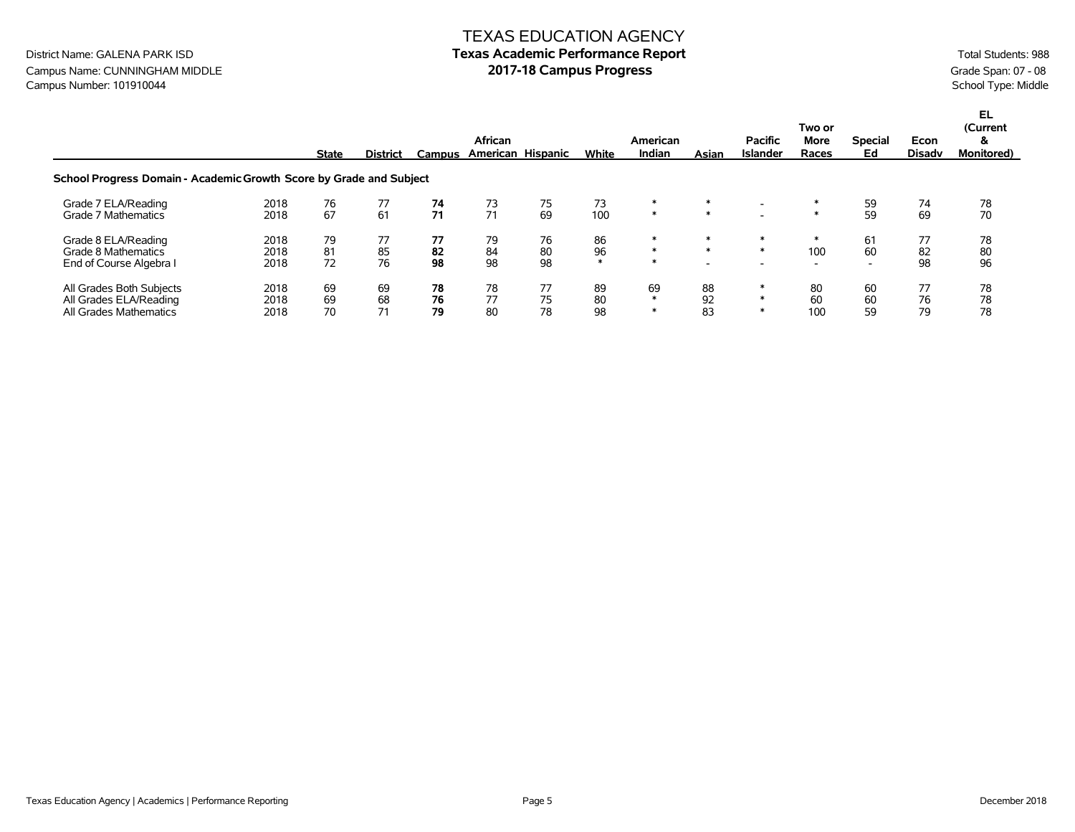### TEXAS EDUCATION AGENCY **Texas Academic Performance Report 2017-18 Campus Progress**

District Name: GALENA PARK ISD Campus Name: CUNNINGHAM MIDDLE Campus Number: 101910044

|                                                                                                                                                                    |                      | <b>State</b>   | <b>District</b> | Campus         | African<br>American Hispanic |                | White              | American<br>Indian    | Asian            | <b>Pacific</b><br><b>Islander</b> | Two or<br>More<br>Races                   | <b>Special</b><br>Ed                 | Econ<br><b>Disadv</b> | EL.<br>(Current<br>&<br><b>Monitored</b> ) |
|--------------------------------------------------------------------------------------------------------------------------------------------------------------------|----------------------|----------------|-----------------|----------------|------------------------------|----------------|--------------------|-----------------------|------------------|-----------------------------------|-------------------------------------------|--------------------------------------|-----------------------|--------------------------------------------|
| School Progress Domain - Academic Growth Score by Grade and Subject<br>73<br>Grade 7 ELA/Reading<br>76<br>77<br>75<br>2018<br>73<br>74<br>78<br>74<br>$\ast$<br>59 |                      |                |                 |                |                              |                |                    |                       |                  |                                   |                                           |                                      |                       |                                            |
| Grade 7 Mathematics                                                                                                                                                | 2018                 | 67             | 61              | 71             | 71                           | 69             | 100                | $\ast$                | $\ast$           |                                   |                                           | 59                                   | 69                    | 70                                         |
| Grade 8 ELA/Reading<br>Grade 8 Mathematics<br>End of Course Algebra I                                                                                              | 2018<br>2018<br>2018 | 79<br>81<br>72 | 77<br>85<br>76  | 77<br>82<br>98 | 79<br>84<br>98               | 76<br>80<br>98 | 86<br>96<br>$\ast$ | ∗<br>$\ast$<br>$\ast$ | $\ast$<br>$\ast$ | $\ast$<br>$\ast$                  | $\ast$<br>100<br>$\overline{\phantom{0}}$ | 61<br>60<br>$\overline{\phantom{0}}$ | 77<br>82<br>98        | 78<br>80<br>96                             |
| All Grades Both Subjects<br>All Grades ELA/Reading<br>All Grades Mathematics                                                                                       | 2018<br>2018<br>2018 | 69<br>69<br>70 | 69<br>68<br>71  | 78<br>76<br>79 | 78<br>77<br>80               | 77<br>75<br>78 | 89<br>80<br>98     | 69<br>$\ast$<br>∗     | 88<br>92<br>83   | $\ast$                            | 80<br>60<br>100                           | 60<br>60<br>59                       | 77<br>76<br>79        | 78<br>78<br>78                             |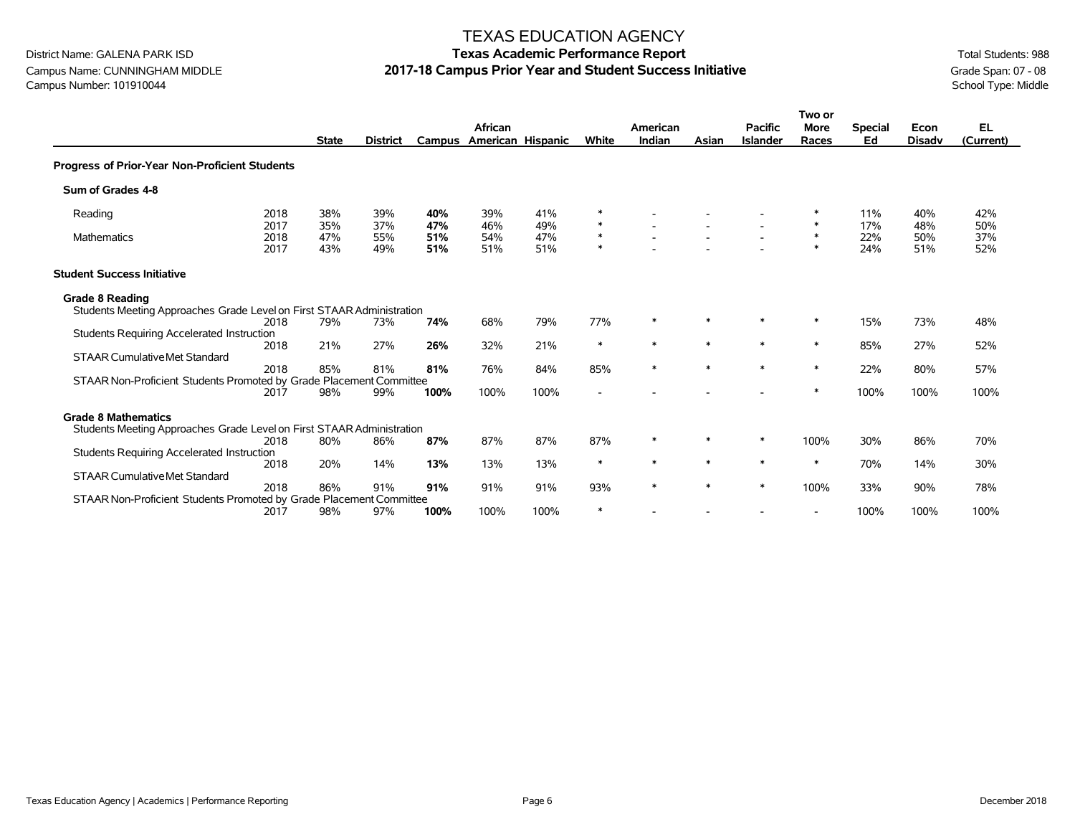# Campus Name: CUNNINGHAM MIDDLE **2017-18 Campus Prior Year and Student Success Initiative** Grade Span: 07 - 08<br>Campus Number: 101910044<br>School Type: Middle Campus Number: 101910044

### TEXAS EDUCATION AGENCY

|                                                                                                 |                      |                   |                   |                   |                                     |                   |                            |                    |        |                                   | Two or               |                      |                       |                        |
|-------------------------------------------------------------------------------------------------|----------------------|-------------------|-------------------|-------------------|-------------------------------------|-------------------|----------------------------|--------------------|--------|-----------------------------------|----------------------|----------------------|-----------------------|------------------------|
|                                                                                                 |                      | <b>State</b>      | <b>District</b>   |                   | African<br>Campus American Hispanic |                   | White                      | American<br>Indian | Asian  | <b>Pacific</b><br><b>Islander</b> | <b>More</b><br>Races | <b>Special</b><br>Ed | Econ<br><b>Disadv</b> | <b>EL</b><br>(Current) |
|                                                                                                 |                      |                   |                   |                   |                                     |                   |                            |                    |        |                                   |                      |                      |                       |                        |
| Progress of Prior-Year Non-Proficient Students                                                  |                      |                   |                   |                   |                                     |                   |                            |                    |        |                                   |                      |                      |                       |                        |
| Sum of Grades 4-8                                                                               |                      |                   |                   |                   |                                     |                   |                            |                    |        |                                   |                      |                      |                       |                        |
| Reading                                                                                         | 2018                 | 38%               | 39%               | 40%               | 39%                                 | 41%               | ∗                          |                    |        |                                   |                      | 11%                  | 40%                   | 42%                    |
| <b>Mathematics</b>                                                                              | 2017<br>2018<br>2017 | 35%<br>47%<br>43% | 37%<br>55%<br>49% | 47%<br>51%<br>51% | 46%<br>54%<br>51%                   | 49%<br>47%<br>51% | $\ast$<br>$\ast$<br>$\ast$ |                    |        |                                   | $\ast$<br>$\ast$     | 17%<br>22%<br>24%    | 48%<br>50%<br>51%     | 50%<br>37%<br>52%      |
| <b>Student Success Initiative</b>                                                               |                      |                   |                   |                   |                                     |                   |                            |                    |        |                                   |                      |                      |                       |                        |
| <b>Grade 8 Reading</b><br>Students Meeting Approaches Grade Level on First STAAR Administration |                      |                   |                   |                   |                                     |                   |                            |                    |        |                                   |                      |                      |                       |                        |
|                                                                                                 | 2018                 | 79%               | 73%               | 74%               | 68%                                 | 79%               | 77%                        | $\ast$             | $\ast$ | $\ast$                            | $\ast$               | 15%                  | 73%                   | 48%                    |
| Students Requiring Accelerated Instruction                                                      |                      |                   |                   |                   |                                     |                   |                            |                    |        |                                   |                      |                      |                       |                        |
|                                                                                                 | 2018                 | 21%               | 27%               | 26%               | 32%                                 | 21%               | $\ast$                     | $\ast$             | $\ast$ | $\ast$                            | $\ast$               | 85%                  | 27%                   | 52%                    |
| <b>STAAR Cumulative Met Standard</b>                                                            | 2018                 | 85%               | 81%               | 81%               | 76%                                 | 84%               | 85%                        | $\ast$             | $\ast$ | $\ast$                            | $\ast$               | 22%                  | 80%                   | 57%                    |
| STAAR Non-Proficient Students Promoted by Grade Placement Committee                             |                      |                   |                   |                   |                                     |                   |                            |                    |        |                                   |                      |                      |                       |                        |
|                                                                                                 | 2017                 | 98%               | 99%               | 100%              | 100%                                | 100%              | $\overline{\phantom{a}}$   |                    |        |                                   | $\ast$               | 100%                 | 100%                  | 100%                   |
| <b>Grade 8 Mathematics</b>                                                                      |                      |                   |                   |                   |                                     |                   |                            |                    |        |                                   |                      |                      |                       |                        |
| Students Meeting Approaches Grade Level on First STAAR Administration                           |                      |                   |                   |                   |                                     |                   |                            |                    |        |                                   |                      |                      |                       |                        |
|                                                                                                 | 2018                 | 80%               | 86%               | 87%               | 87%                                 | 87%               | 87%                        | $\ast$             |        | $\ast$                            | 100%                 | 30%                  | 86%                   | 70%                    |
| Students Requiring Accelerated Instruction                                                      | 2018                 | 20%               | 14%               | 13%               | 13%                                 | 13%               | $\ast$                     | $\ast$             | $\ast$ | $\ast$                            | $\ast$               | 70%                  | 14%                   | 30%                    |
| <b>STAAR Cumulative Met Standard</b>                                                            |                      |                   |                   |                   |                                     |                   |                            |                    |        |                                   |                      |                      |                       |                        |
|                                                                                                 | 2018                 | 86%               | 91%               | 91%               | 91%                                 | 91%               | 93%                        | $\ast$             | $\ast$ | $\ast$                            | 100%                 | 33%                  | 90%                   | 78%                    |
| STAAR Non-Proficient Students Promoted by Grade Placement Committee                             |                      |                   |                   |                   |                                     |                   |                            |                    |        |                                   |                      |                      |                       |                        |
|                                                                                                 | 2017                 | 98%               | 97%               | 100%              | 100%                                | 100%              | $\ast$                     |                    |        |                                   |                      | 100%                 | 100%                  | 100%                   |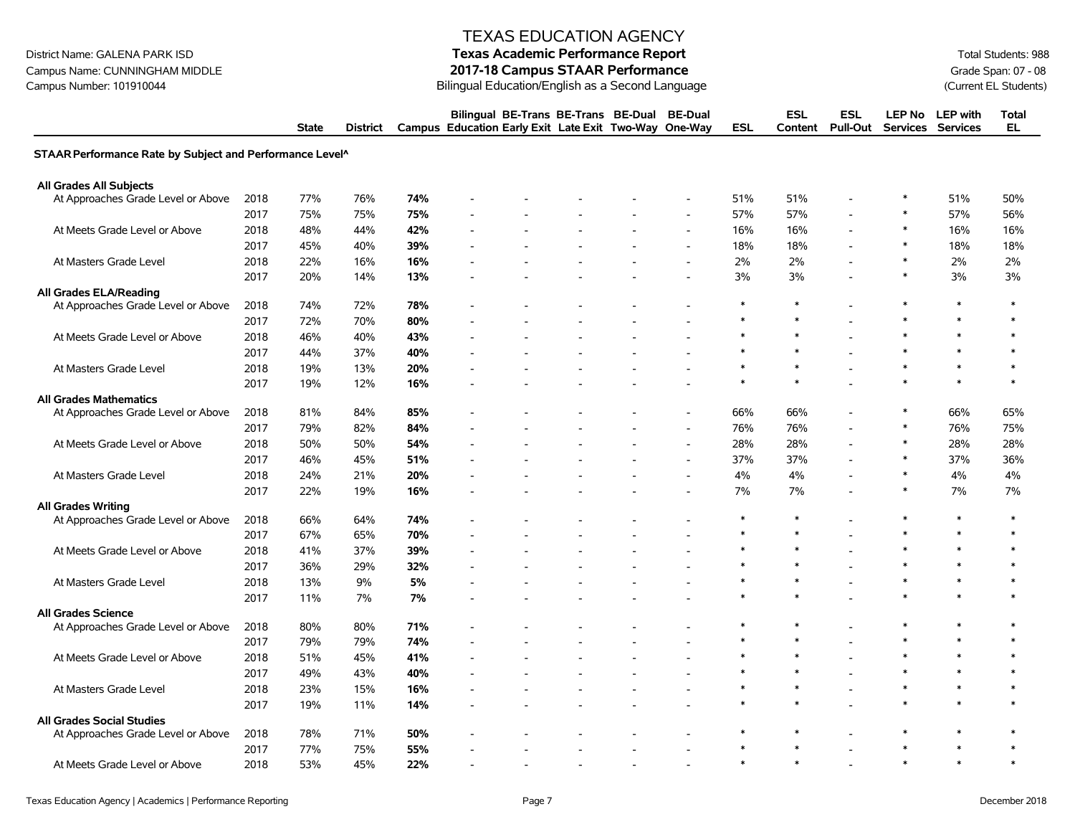Campus Name: CUNNINGHAM MIDDLE **2017-18 Campus STAAR Performance** Grade Span: 07 - 08<br>Campus Number: 101910044 (Current EL Students) Bilingual Education/English as a Second Language (Current EL Students)

### TEXAS EDUCATION AGENCY

# District Name: GALENA PARK ISD **Texas Academic Performance Report Texas Academic Performance Report Total Students: 988** Bilingual Education/English as a Second Language

|                                                          |      | <b>State</b> | <b>District</b> |     | Bilingual BE-Trans BE-Trans BE-Dual BE-Dual<br>Campus Education Early Exit Late Exit Two-Way One-Way |  |                          | <b>ESL</b> | <b>ESL</b><br>Content | ESL<br><b>Pull-Out</b> | <b>Services</b> | LEP No LEP with<br><b>Services</b> | Total<br><b>EL</b> |
|----------------------------------------------------------|------|--------------|-----------------|-----|------------------------------------------------------------------------------------------------------|--|--------------------------|------------|-----------------------|------------------------|-----------------|------------------------------------|--------------------|
| STAAR Performance Rate by Subject and Performance Level^ |      |              |                 |     |                                                                                                      |  |                          |            |                       |                        |                 |                                    |                    |
| <b>All Grades All Subjects</b>                           |      |              |                 |     |                                                                                                      |  |                          |            |                       |                        |                 |                                    |                    |
| At Approaches Grade Level or Above                       | 2018 | 77%          | 76%             | 74% |                                                                                                      |  |                          | 51%        | 51%                   |                        |                 | 51%                                | 50%                |
|                                                          | 2017 | 75%          | 75%             | 75% |                                                                                                      |  |                          | 57%        | 57%                   |                        | $\ast$          | 57%                                | 56%                |
| At Meets Grade Level or Above                            | 2018 | 48%          | 44%             | 42% |                                                                                                      |  | $\overline{\phantom{a}}$ | 16%        | 16%                   |                        |                 | 16%                                | 16%                |
|                                                          | 2017 | 45%          | 40%             | 39% |                                                                                                      |  | $\blacksquare$           | 18%        | 18%                   |                        | $\ast$          | 18%                                | 18%                |
| At Masters Grade Level                                   | 2018 | 22%          | 16%             | 16% |                                                                                                      |  | $\blacksquare$           | 2%         | 2%                    |                        | $\ast$          | 2%                                 | 2%                 |
|                                                          | 2017 | 20%          | 14%             | 13% |                                                                                                      |  |                          | 3%         | 3%                    |                        | $\ast$          | 3%                                 | 3%                 |
| <b>All Grades ELA/Reading</b>                            |      |              |                 |     |                                                                                                      |  |                          |            |                       |                        |                 |                                    |                    |
| At Approaches Grade Level or Above                       | 2018 | 74%          | 72%             | 78% |                                                                                                      |  |                          | $\ast$     | $\ast$                |                        | $\ast$          | $\ast$                             | $\ast$             |
|                                                          | 2017 | 72%          | 70%             | 80% |                                                                                                      |  |                          | $\ast$     | $\ast$                |                        |                 | $\ast$                             | $\ast$             |
| At Meets Grade Level or Above                            | 2018 | 46%          | 40%             | 43% |                                                                                                      |  |                          |            |                       |                        |                 | $\ast$                             | $\ast$             |
|                                                          | 2017 | 44%          | 37%             | 40% |                                                                                                      |  |                          |            |                       |                        |                 | $\ast$                             | $\ast$             |
| At Masters Grade Level                                   | 2018 | 19%          | 13%             | 20% |                                                                                                      |  |                          | $\ast$     |                       |                        |                 | $\ast$                             | $\ast$             |
|                                                          | 2017 | 19%          | 12%             | 16% |                                                                                                      |  |                          |            |                       |                        |                 | $\ast$                             | $\ast$             |
| <b>All Grades Mathematics</b>                            |      |              |                 |     |                                                                                                      |  |                          |            |                       |                        |                 |                                    |                    |
| At Approaches Grade Level or Above                       | 2018 | 81%          | 84%             | 85% |                                                                                                      |  |                          | 66%        | 66%                   |                        |                 | 66%                                | 65%                |
|                                                          | 2017 | 79%          | 82%             | 84% |                                                                                                      |  | $\blacksquare$           | 76%        | 76%                   |                        | $\ast$          | 76%                                | 75%                |
| At Meets Grade Level or Above                            | 2018 | 50%          | 50%             | 54% |                                                                                                      |  | $\overline{\phantom{a}}$ | 28%        | 28%                   |                        |                 | 28%                                | 28%                |
|                                                          | 2017 | 46%          | 45%             | 51% |                                                                                                      |  | $\overline{\phantom{a}}$ | 37%        | 37%                   |                        | $\ast$          | 37%                                | 36%                |
| At Masters Grade Level                                   | 2018 | 24%          | 21%             | 20% |                                                                                                      |  | $\overline{\phantom{a}}$ | 4%         | 4%                    |                        | $\ast$          | 4%                                 | 4%                 |
|                                                          | 2017 | 22%          | 19%             | 16% |                                                                                                      |  | $\overline{\phantom{a}}$ | 7%         | 7%                    |                        | $\ast$          | 7%                                 | 7%                 |
| <b>All Grades Writing</b>                                |      |              |                 |     |                                                                                                      |  |                          |            |                       |                        |                 |                                    |                    |
| At Approaches Grade Level or Above                       | 2018 | 66%          | 64%             | 74% |                                                                                                      |  |                          | $\ast$     | $\ast$                |                        | $\ast$          | $\ast$                             | $\ast$             |
|                                                          | 2017 | 67%          | 65%             | 70% |                                                                                                      |  |                          | $\ast$     | $\ast$                |                        | $\ast$          | $\ast$                             | $\ast$             |
| At Meets Grade Level or Above                            | 2018 | 41%          | 37%             | 39% |                                                                                                      |  |                          |            |                       |                        |                 | $\ast$                             | $\ast$             |
|                                                          | 2017 | 36%          | 29%             | 32% |                                                                                                      |  |                          | $\ast$     | $\ast$                |                        | $\ast$          | $\ast$                             | $\ast$             |
| At Masters Grade Level                                   | 2018 | 13%          | 9%              | 5%  |                                                                                                      |  |                          | $\ast$     | $\ast$                |                        | $\ast$          | $\star$                            | $\ast$             |
|                                                          | 2017 | 11%          | 7%              | 7%  |                                                                                                      |  |                          |            |                       |                        | $\ast$          | $\ast$                             | $\ast$             |
| <b>All Grades Science</b>                                |      |              |                 |     |                                                                                                      |  |                          |            |                       |                        |                 |                                    |                    |
| At Approaches Grade Level or Above                       | 2018 | 80%          | 80%             | 71% |                                                                                                      |  |                          | $\ast$     | $\ast$                |                        | $\ast$          | $\ast$                             | $\ast$             |
|                                                          | 2017 | 79%          | 79%             | 74% |                                                                                                      |  |                          | ∗          |                       |                        |                 | $\ast$                             | $\ast$             |
| At Meets Grade Level or Above                            | 2018 | 51%          | 45%             | 41% |                                                                                                      |  |                          | $\ast$     |                       |                        |                 | $\ast$                             | $\ast$             |
|                                                          | 2017 | 49%          | 43%             | 40% |                                                                                                      |  |                          | $\ast$     | $\ast$                |                        | $\ast$          | $\ast$                             | $\ast$             |
| At Masters Grade Level                                   | 2018 | 23%          | 15%             | 16% |                                                                                                      |  |                          | $\ast$     | $\ast$                |                        | $\ast$          | $\ast$                             | $\ast$             |
|                                                          | 2017 | 19%          | 11%             | 14% |                                                                                                      |  |                          |            |                       |                        |                 |                                    | $\ast$             |
| <b>All Grades Social Studies</b>                         |      |              |                 |     |                                                                                                      |  |                          |            |                       |                        |                 |                                    |                    |
| At Approaches Grade Level or Above                       | 2018 | 78%          | 71%             | 50% |                                                                                                      |  |                          | $\ast$     | $\ast$                |                        | $\ast$          | $\ast$                             | ∗                  |
|                                                          | 2017 | 77%          | 75%             | 55% |                                                                                                      |  |                          | $\ast$     |                       |                        |                 | $\ast$                             | $\ast$             |
| At Meets Grade Level or Above                            | 2018 | 53%          | 45%             | 22% |                                                                                                      |  |                          | $\ast$     | $\ast$                |                        | $\ast$          | $\ast$                             | $\ast$             |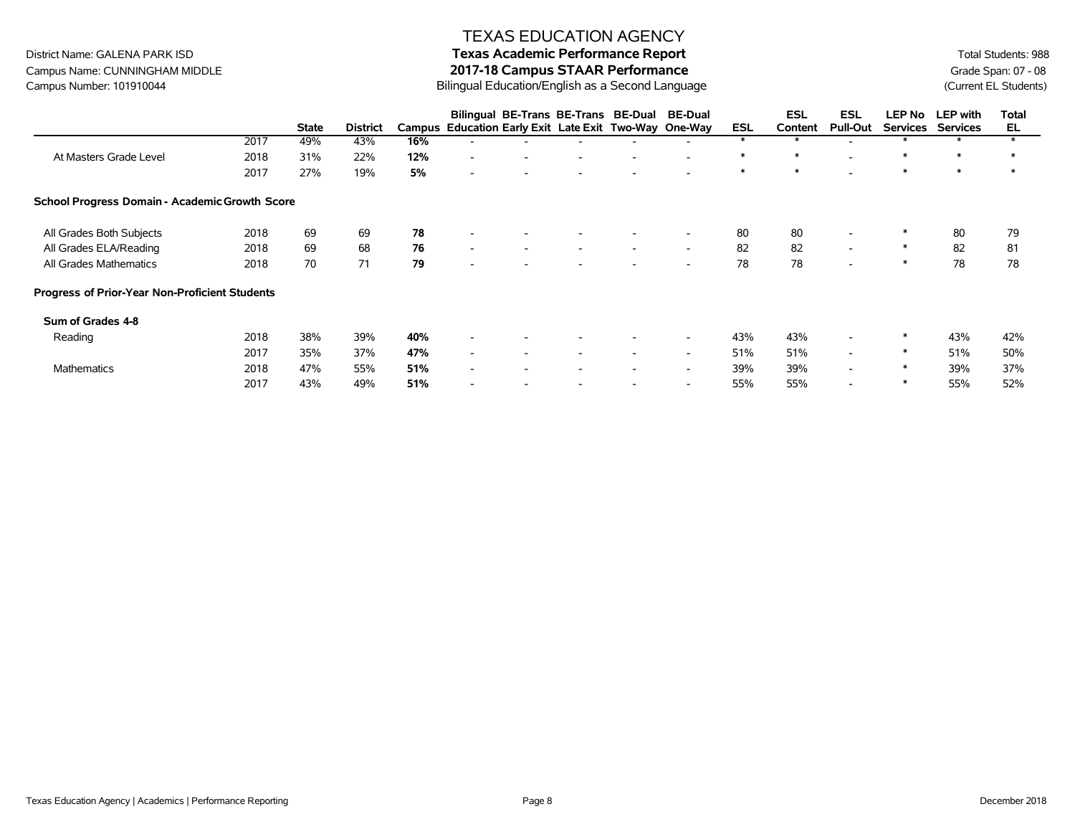# **Texas Academic Performance Report**

District Name: GALENA PARK ISD Campus Name: CUNNINGHAM MIDDLE Campus Number: 101910044

#### **2017-18 Campus STAAR Performance**  Bilingual Education/English as a Second Language

Total Students: 988 Grade Span: 07 - 08 (Current EL Students)

|                                                |      |              |                 |     | Bilingual BE-Trans BE-Trans BE-Dual                   |                          |                          | <b>BE-Dual</b>           |            | <b>ESL</b> | ESL                      | <b>LEP No</b>   | <b>LEP</b> with | <b>Total</b> |
|------------------------------------------------|------|--------------|-----------------|-----|-------------------------------------------------------|--------------------------|--------------------------|--------------------------|------------|------------|--------------------------|-----------------|-----------------|--------------|
|                                                |      | <b>State</b> | <b>District</b> |     | Campus Education Early Exit Late Exit Two-Way One-Way |                          |                          |                          | <b>ESL</b> | Content    | <b>Pull-Out</b>          | <b>Services</b> | <b>Services</b> | EL           |
|                                                | 2017 | 49%          | 43%             | 16% |                                                       |                          |                          |                          |            |            |                          |                 |                 |              |
| At Masters Grade Level                         | 2018 | 31%          | 22%             | 12% | $\overline{\phantom{a}}$                              |                          |                          | $\overline{\phantom{a}}$ | $\ast$     | ∗          |                          | ∗               | $\ast$          | ∗            |
|                                                | 2017 | 27%          | 19%             | 5%  | $\overline{\phantom{a}}$                              |                          |                          | $\overline{\phantom{a}}$ | $\ast$     | $\ast$     |                          | $\ast$          | $\ast$          | $\ast$       |
| School Progress Domain - Academic Growth Score |      |              |                 |     |                                                       |                          |                          |                          |            |            |                          |                 |                 |              |
| All Grades Both Subjects                       | 2018 | 69           | 69              | 78  | $\overline{\phantom{a}}$                              |                          |                          | $\overline{\phantom{a}}$ | 80         | 80         | $\overline{\phantom{a}}$ |                 | 80              | 79           |
| All Grades ELA/Reading                         | 2018 | 69           | 68              | 76  | $\overline{\phantom{a}}$<br>$\overline{\phantom{a}}$  | $\overline{\phantom{a}}$ | $\overline{\phantom{a}}$ | $\overline{\phantom{a}}$ | 82         | 82         | $\sim$                   | ∗               | 82              | 81           |
| All Grades Mathematics                         | 2018 | 70           | 71              | 79  | $\overline{\phantom{a}}$                              |                          |                          | $\overline{\phantom{a}}$ | 78         | 78         | $\overline{\phantom{a}}$ | ∗               | 78              | 78           |
| Progress of Prior-Year Non-Proficient Students |      |              |                 |     |                                                       |                          |                          |                          |            |            |                          |                 |                 |              |
| Sum of Grades 4-8                              |      |              |                 |     |                                                       |                          |                          |                          |            |            |                          |                 |                 |              |
| Reading                                        | 2018 | 38%          | 39%             | 40% |                                                       |                          |                          | $\overline{\phantom{a}}$ | 43%        | 43%        |                          | ∗               | 43%             | 42%          |
|                                                | 2017 | 35%          | 37%             | 47% | $\overline{\phantom{a}}$<br>$\overline{\phantom{a}}$  | $\overline{\phantom{a}}$ | $\overline{\phantom{a}}$ | $\overline{\phantom{a}}$ | 51%        | 51%        | $\overline{\phantom{0}}$ | ∗               | 51%             | 50%          |
| <b>Mathematics</b>                             | 2018 | 47%          | 55%             | 51% | $\overline{\phantom{a}}$<br>$\overline{\phantom{a}}$  | $\overline{\phantom{a}}$ | $\overline{\phantom{a}}$ | $\overline{\phantom{a}}$ | 39%        | 39%        | $\overline{\phantom{0}}$ | ∗               | 39%             | 37%          |
|                                                | 2017 | 43%          | 49%             | 51% |                                                       |                          |                          | $\overline{\phantom{a}}$ | 55%        | 55%        |                          | ∗               | 55%             | 52%          |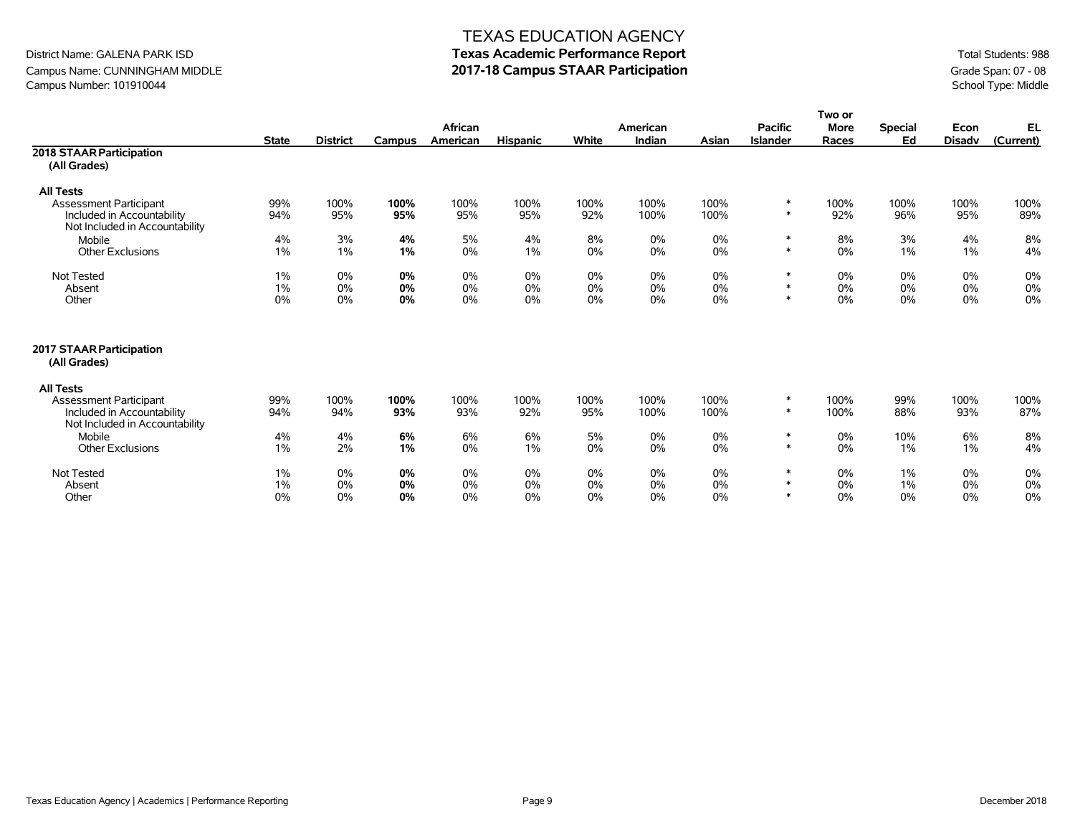# District Name: GALENA PARK ISD **Texas Academic Performance Report** Total Students: 988

Campus Name: CUNNINGHAM MIDDLE **2017-18 Campus STAAR Participation** and the Campus Number: 101910044 Grade Span: 07 - 08<br>Campus Number: 101910044 School Type: Middle Campus Number: 101910044

|                                                              |              |                 |        |          |                 |       |          |       |                 | Two or      |                |               |           |
|--------------------------------------------------------------|--------------|-----------------|--------|----------|-----------------|-------|----------|-------|-----------------|-------------|----------------|---------------|-----------|
|                                                              |              |                 |        | African  |                 |       | American |       | <b>Pacific</b>  | <b>More</b> | <b>Special</b> | Econ          | EL        |
|                                                              | <b>State</b> | <b>District</b> | Campus | American | <b>Hispanic</b> | White | Indian   | Asian | <b>Islander</b> | Races       | Ed             | <b>Disadv</b> | (Current) |
| 2018 STAAR Participation                                     |              |                 |        |          |                 |       |          |       |                 |             |                |               |           |
| (All Grades)                                                 |              |                 |        |          |                 |       |          |       |                 |             |                |               |           |
| <b>All Tests</b>                                             |              |                 |        |          |                 |       |          |       |                 |             |                |               |           |
| <b>Assessment Participant</b>                                | 99%          | 100%            | 100%   | 100%     | 100%            | 100%  | 100%     | 100%  | $\ast$          | 100%        | 100%           | 100%          | 100%      |
| Included in Accountability<br>Not Included in Accountability | 94%          | 95%             | 95%    | 95%      | 95%             | 92%   | 100%     | 100%  | $\ast$          | 92%         | 96%            | 95%           | 89%       |
| Mobile                                                       | 4%           | 3%              | 4%     | 5%       | 4%              | 8%    | 0%       | 0%    | $\ast$          | 8%          | 3%             | 4%            | 8%        |
| <b>Other Exclusions</b>                                      | $1\%$        | 1%              | 1%     | 0%       | $1\%$           | 0%    | 0%       | 0%    | $\ast$          | 0%          | 1%             | $1\%$         | 4%        |
| Not Tested                                                   | 1%           | 0%              | 0%     | 0%       | 0%              | 0%    | 0%       | 0%    | $\ast$          | 0%          | 0%             | 0%            | 0%        |
| Absent                                                       | 1%           | 0%              | 0%     | 0%       | 0%              | 0%    | 0%       | 0%    | $\ast$          | $0\%$       | 0%             | 0%            | 0%        |
| Other                                                        | 0%           | 0%              | 0%     | 0%       | 0%              | 0%    | 0%       | 0%    | $\ast$          | 0%          | 0%             | 0%            | 0%        |
| 2017 STAAR Participation<br>(All Grades)                     |              |                 |        |          |                 |       |          |       |                 |             |                |               |           |
| <b>All Tests</b>                                             |              |                 |        |          |                 |       |          |       |                 |             |                |               |           |
| Assessment Participant                                       | 99%          | 100%            | 100%   | 100%     | 100%            | 100%  | 100%     | 100%  | $\ast$          | 100%        | 99%            | 100%          | 100%      |
| Included in Accountability<br>Not Included in Accountability | 94%          | 94%             | 93%    | 93%      | 92%             | 95%   | 100%     | 100%  | $\ast$          | 100%        | 88%            | 93%           | 87%       |
| Mobile                                                       | 4%           | 4%              | 6%     | 6%       | 6%              | 5%    | 0%       | 0%    | $\ast$          | 0%          | 10%            | 6%            | 8%        |
| <b>Other Exclusions</b>                                      | $1\%$        | 2%              | 1%     | 0%       | $1\%$           | 0%    | 0%       | 0%    | $\ast$          | 0%          | 1%             | $1\%$         | 4%        |
| Not Tested                                                   | $1\%$        | 0%              | 0%     | 0%       | 0%              | 0%    | 0%       | 0%    | $\ast$          | 0%          | 1%             | 0%            | 0%        |
| Absent                                                       | 1%           | 0%              | 0%     | 0%       | 0%              | 0%    | 0%       | 0%    | $\ast$          | 0%          | 1%             | 0%            | 0%        |
| Other                                                        | 0%           | 0%              | 0%     | 0%       | $0\%$           | 0%    | 0%       | 0%    | $\ast$          | $0\%$       | 0%             | 0%            | 0%        |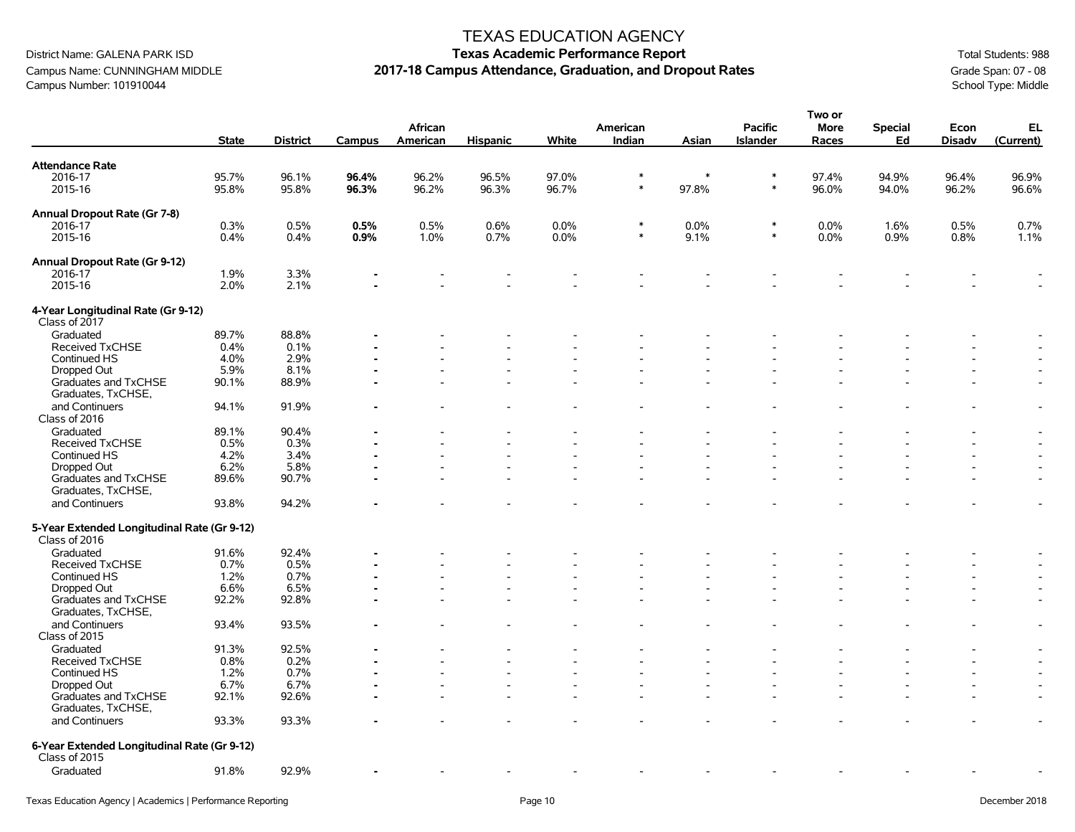Campus Name: CUNNINGHAM MIDDLE **2017-18 Campus Attendance, Graduation, and Dropout Rates** Grade Span: 07 - 08<br>Campus Number: 101910044 School Type: Middle Campus Number: 101910044

# District Name: GALENA PARK ISD **Texas Academic Performance Report Texas Academic Performance Report Total Students: 988**

**Two or** 

|                                                              | <b>State</b> | <b>District</b> | Campus | African<br>American | <b>Hispanic</b> | White | American<br>Indian | Asian  | <b>Pacific</b><br><b>Islander</b> | וט שעו<br><b>More</b><br>Races | Special<br>Ed | Econ<br><b>Disadv</b>    | EL<br>(Current)          |
|--------------------------------------------------------------|--------------|-----------------|--------|---------------------|-----------------|-------|--------------------|--------|-----------------------------------|--------------------------------|---------------|--------------------------|--------------------------|
| <b>Attendance Rate</b>                                       |              |                 |        |                     |                 |       |                    |        |                                   |                                |               |                          |                          |
| 2016-17                                                      | 95.7%        | 96.1%           | 96.4%  | 96.2%               | 96.5%           | 97.0% | $\ast$             | $\ast$ | $\ast$                            | 97.4%                          | 94.9%         | 96.4%                    | 96.9%                    |
| 2015-16                                                      | 95.8%        | 95.8%           | 96.3%  | 96.2%               | 96.3%           | 96.7% | $\ast$             | 97.8%  | $\ast$                            | 96.0%                          | 94.0%         | 96.2%                    | 96.6%                    |
| Annual Dropout Rate (Gr 7-8)                                 |              |                 |        |                     |                 |       |                    |        |                                   |                                |               |                          |                          |
| 2016-17                                                      | 0.3%         | 0.5%            | 0.5%   | 0.5%                | 0.6%            | 0.0%  | $\ast$             | 0.0%   | $\ast$                            | 0.0%                           | 1.6%          | 0.5%                     | 0.7%                     |
| 2015-16                                                      | 0.4%         | 0.4%            | 0.9%   | 1.0%                | 0.7%            | 0.0%  | $\ast$             | 9.1%   | $\ast$                            | 0.0%                           | 0.9%          | 0.8%                     | 1.1%                     |
| Annual Dropout Rate (Gr 9-12)                                |              |                 |        |                     |                 |       |                    |        |                                   |                                |               |                          |                          |
| 2016-17                                                      | 1.9%         | 3.3%            |        |                     |                 |       |                    |        |                                   |                                |               |                          |                          |
| 2015-16                                                      | 2.0%         | 2.1%            |        |                     |                 |       |                    |        |                                   |                                |               |                          |                          |
| 4-Year Longitudinal Rate (Gr 9-12)<br>Class of 2017          |              |                 |        |                     |                 |       |                    |        |                                   |                                |               |                          |                          |
| Graduated                                                    | 89.7%        | 88.8%           |        |                     |                 |       |                    |        |                                   |                                |               |                          |                          |
| Received TxCHSE                                              | 0.4%         | 0.1%            |        |                     |                 |       |                    |        |                                   |                                |               |                          |                          |
| Continued HS                                                 | 4.0%         | 2.9%            |        |                     |                 |       |                    |        |                                   |                                |               |                          |                          |
| Dropped Out                                                  | 5.9%         | 8.1%            |        |                     |                 |       |                    |        |                                   |                                |               |                          |                          |
| Graduates and TxCHSE<br>Graduates, TxCHSE,                   | 90.1%        | 88.9%           |        |                     |                 |       |                    |        |                                   |                                |               |                          |                          |
| and Continuers<br>Class of 2016                              | 94.1%        | 91.9%           |        |                     |                 |       |                    |        |                                   |                                |               |                          | $\overline{\phantom{a}}$ |
| Graduated                                                    | 89.1%        | 90.4%           |        |                     |                 |       |                    |        |                                   |                                |               |                          |                          |
| Received TxCHSE                                              | 0.5%         | 0.3%            |        |                     |                 |       |                    |        |                                   |                                |               |                          |                          |
| Continued HS                                                 | 4.2%         | 3.4%            |        |                     |                 |       |                    |        |                                   |                                |               |                          |                          |
| Dropped Out                                                  | 6.2%         | 5.8%            |        |                     |                 |       |                    |        |                                   |                                |               |                          | $\blacksquare$           |
| Graduates and TxCHSE<br>Graduates, TxCHSE,                   | 89.6%        | 90.7%           |        |                     |                 |       |                    |        |                                   |                                |               |                          |                          |
| and Continuers                                               | 93.8%        | 94.2%           |        |                     |                 |       |                    |        |                                   |                                |               |                          |                          |
| 5-Year Extended Longitudinal Rate (Gr 9-12)<br>Class of 2016 |              |                 |        |                     |                 |       |                    |        |                                   |                                |               |                          |                          |
| Graduated                                                    | 91.6%        | 92.4%           |        |                     |                 |       |                    |        |                                   |                                |               |                          |                          |
| Received TxCHSE                                              | 0.7%         | 0.5%            |        |                     |                 |       |                    |        |                                   |                                |               |                          |                          |
| Continued HS                                                 | 1.2%         | 0.7%            |        |                     |                 |       |                    |        |                                   |                                |               |                          |                          |
| Dropped Out                                                  | 6.6%         | 6.5%            |        |                     |                 |       |                    |        |                                   |                                |               | $\overline{\phantom{a}}$ |                          |
| Graduates and TxCHSE<br>Graduates, TxCHSE,                   | 92.2%        | 92.8%           |        |                     |                 |       |                    |        |                                   |                                |               |                          | $\blacksquare$           |
| and Continuers<br>Class of 2015                              | 93.4%        | 93.5%           |        |                     |                 |       |                    |        |                                   |                                |               |                          | $\overline{\phantom{a}}$ |
| Graduated                                                    | 91.3%        | 92.5%           |        |                     |                 |       |                    |        |                                   |                                |               |                          |                          |
| <b>Received TxCHSE</b>                                       | 0.8%         | 0.2%            |        |                     |                 |       |                    |        |                                   |                                |               |                          | $\overline{\phantom{a}}$ |
| Continued HS                                                 | 1.2%         | 0.7%            |        |                     |                 |       |                    |        |                                   |                                |               |                          |                          |
| Dropped Out                                                  | 6.7%         | 6.7%            |        |                     |                 |       |                    |        |                                   |                                |               |                          |                          |
| Graduates and TxCHSE<br>Graduates, TxCHSE,                   | 92.1%        | 92.6%           |        |                     |                 |       |                    |        |                                   |                                |               |                          | $\overline{\phantom{a}}$ |
| and Continuers                                               | 93.3%        | 93.3%           |        |                     |                 |       |                    |        |                                   |                                |               |                          |                          |
| 6-Year Extended Longitudinal Rate (Gr 9-12)<br>Class of 2015 |              |                 |        |                     |                 |       |                    |        |                                   |                                |               |                          |                          |
| Graduated                                                    | 91.8%        | 92.9%           |        |                     |                 |       |                    |        |                                   |                                |               |                          |                          |
|                                                              |              |                 |        |                     |                 |       |                    |        |                                   |                                |               |                          |                          |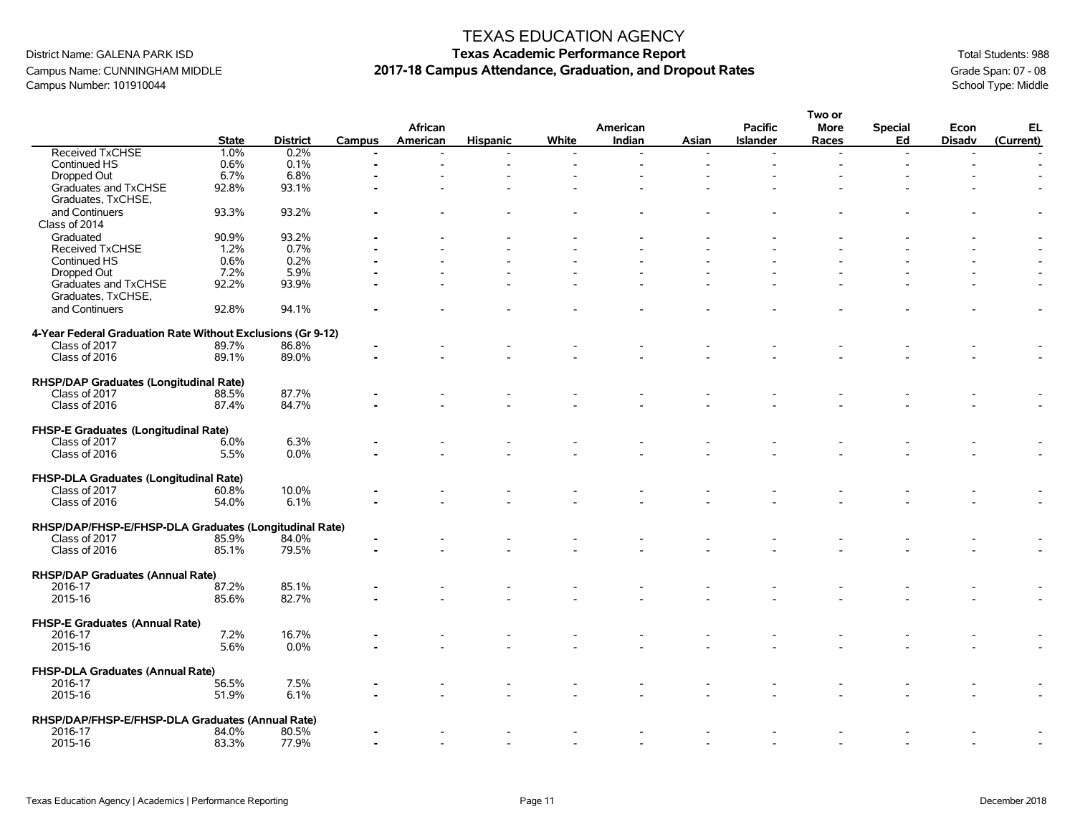Campus Name: CUNNINGHAM MIDDLE **2017-18 Campus Attendance, Graduation, and Dropout Rates** Grade Span: 07 - 08<br>Campus Number: 101910044 School Type: Middle Campus Number: 101910044

|                                                             |              |                 |        |          |                 |       |          |       |                 | Two or |                |               |           |
|-------------------------------------------------------------|--------------|-----------------|--------|----------|-----------------|-------|----------|-------|-----------------|--------|----------------|---------------|-----------|
|                                                             |              |                 |        | African  |                 |       | American |       | Pacific         | More   | <b>Special</b> | Econ          | EL        |
|                                                             | <b>State</b> | <b>District</b> | Campus | American | <b>Hispanic</b> | White | Indian   | Asian | <b>Islander</b> | Races  | Ed             | <b>Disadv</b> | (Current) |
| Received TxCHSE                                             | 1.0%         | 0.2%            |        |          |                 |       |          |       |                 |        | $\overline{a}$ |               |           |
| Continued HS                                                | 0.6%         | 0.1%            |        |          |                 |       |          |       |                 |        |                |               |           |
| Dropped Out                                                 | 6.7%         | 6.8%            |        |          |                 |       |          |       |                 |        |                |               |           |
| Graduates and TxCHSE                                        | 92.8%        | 93.1%           |        |          |                 |       |          |       |                 |        |                |               |           |
| Graduates, TxCHSE,                                          |              |                 |        |          |                 |       |          |       |                 |        |                |               |           |
| and Continuers                                              | 93.3%        | 93.2%           |        |          |                 |       |          |       |                 |        |                |               |           |
| Class of 2014                                               |              |                 |        |          |                 |       |          |       |                 |        |                |               |           |
| Graduated                                                   | 90.9%        | 93.2%           |        |          |                 |       |          |       |                 |        |                |               |           |
| Received TxCHSE                                             | 1.2%         | 0.7%            |        |          |                 |       |          |       |                 |        |                |               |           |
| Continued HS                                                | 0.6%         | 0.2%            |        |          |                 |       |          |       |                 |        |                |               |           |
| Dropped Out                                                 | 7.2%         | 5.9%            |        |          |                 |       |          |       |                 |        |                |               |           |
| Graduates and TxCHSE                                        | 92.2%        | 93.9%           |        |          |                 |       |          |       |                 |        |                |               |           |
| Graduates, TxCHSE,                                          |              |                 |        |          |                 |       |          |       |                 |        |                |               |           |
| and Continuers                                              | 92.8%        | 94.1%           |        |          |                 |       |          |       |                 |        |                |               |           |
|                                                             |              |                 |        |          |                 |       |          |       |                 |        |                |               |           |
| 4-Year Federal Graduation Rate Without Exclusions (Gr 9-12) |              |                 |        |          |                 |       |          |       |                 |        |                |               |           |
| Class of 2017                                               | 89.7%        | 86.8%           |        |          |                 |       |          |       |                 |        |                |               |           |
| Class of 2016                                               | 89.1%        | 89.0%           |        |          |                 |       |          |       |                 |        |                |               |           |
|                                                             |              |                 |        |          |                 |       |          |       |                 |        |                |               |           |
| RHSP/DAP Graduates (Longitudinal Rate)                      |              |                 |        |          |                 |       |          |       |                 |        |                |               |           |
| Class of 2017                                               | 88.5%        | 87.7%           |        |          |                 |       |          |       |                 |        |                |               |           |
| Class of 2016                                               | 87.4%        | 84.7%           |        |          |                 |       |          |       |                 |        |                |               |           |
|                                                             |              |                 |        |          |                 |       |          |       |                 |        |                |               |           |
| FHSP-E Graduates (Longitudinal Rate)                        |              |                 |        |          |                 |       |          |       |                 |        |                |               |           |
| Class of 2017                                               | 6.0%         | 6.3%            |        |          |                 |       |          |       |                 |        |                |               |           |
| Class of 2016                                               | 5.5%         | 0.0%            |        |          |                 |       |          |       |                 |        |                |               |           |
|                                                             |              |                 |        |          |                 |       |          |       |                 |        |                |               |           |
| FHSP-DLA Graduates (Longitudinal Rate)                      |              |                 |        |          |                 |       |          |       |                 |        |                |               |           |
| Class of 2017                                               | 60.8%        | 10.0%           |        |          |                 |       |          |       |                 |        |                |               |           |
| Class of 2016                                               | 54.0%        | 6.1%            |        |          |                 |       |          |       |                 |        |                |               |           |
|                                                             |              |                 |        |          |                 |       |          |       |                 |        |                |               |           |
| RHSP/DAP/FHSP-E/FHSP-DLA Graduates (Longitudinal Rate)      |              |                 |        |          |                 |       |          |       |                 |        |                |               |           |
| Class of 2017                                               | 85.9%        | 84.0%           |        |          |                 |       |          |       |                 |        |                |               |           |
| Class of 2016                                               | 85.1%        | 79.5%           |        |          |                 |       |          |       |                 |        |                |               |           |
|                                                             |              |                 |        |          |                 |       |          |       |                 |        |                |               |           |
| <b>RHSP/DAP Graduates (Annual Rate)</b>                     |              |                 |        |          |                 |       |          |       |                 |        |                |               |           |
| 2016-17                                                     | 87.2%        | 85.1%           |        |          |                 |       |          |       |                 |        |                |               |           |
| 2015-16                                                     | 85.6%        | 82.7%           |        |          |                 |       |          |       |                 |        |                |               |           |
|                                                             |              |                 |        |          |                 |       |          |       |                 |        |                |               |           |
| FHSP-E Graduates (Annual Rate)                              |              |                 |        |          |                 |       |          |       |                 |        |                |               |           |
| 2016-17                                                     | 7.2%         | 16.7%           |        |          |                 |       |          |       |                 |        |                |               |           |
| 2015-16                                                     | 5.6%         | 0.0%            |        |          |                 |       |          |       |                 |        |                |               |           |
|                                                             |              |                 |        |          |                 |       |          |       |                 |        |                |               |           |
| FHSP-DLA Graduates (Annual Rate)                            |              |                 |        |          |                 |       |          |       |                 |        |                |               |           |
| 2016-17                                                     | 56.5%        | 7.5%            |        |          |                 |       |          |       |                 |        |                |               |           |
| 2015-16                                                     | 51.9%        | 6.1%            |        |          |                 |       |          |       |                 |        |                |               |           |
|                                                             |              |                 |        |          |                 |       |          |       |                 |        |                |               |           |
| RHSP/DAP/FHSP-E/FHSP-DLA Graduates (Annual Rate)            |              |                 |        |          |                 |       |          |       |                 |        |                |               |           |
| 2016-17                                                     | 84.0%        | 80.5%           |        |          |                 |       |          |       |                 |        |                |               |           |
| 2015-16                                                     | 83.3%        | 77.9%           |        |          |                 |       |          |       |                 |        |                |               |           |
|                                                             |              |                 |        |          |                 |       |          |       |                 |        |                |               |           |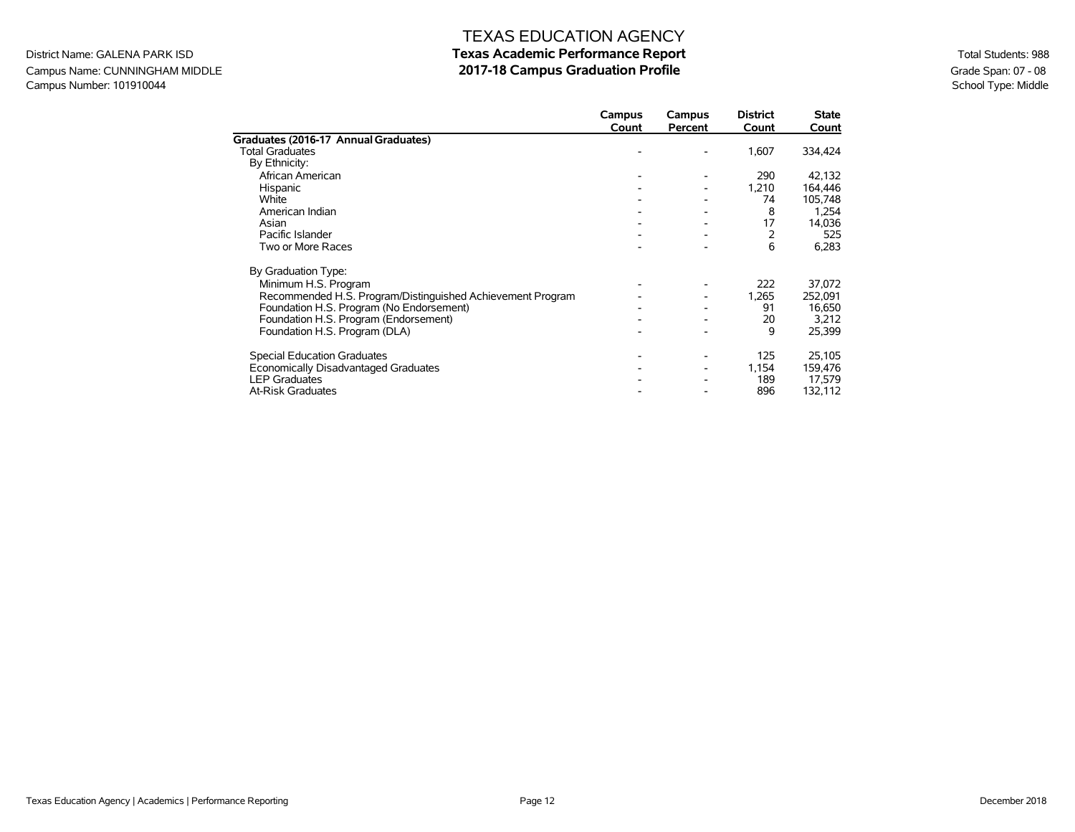#### **Texas Academic Performance Report 2017-18 Campus Graduation Profile**

District Name: GALENA PARK ISD Campus Name: CUNNINGHAM MIDDLE Campus Number: 101910044

|                                                            | Campus<br>Count | Campus<br>Percent | <b>District</b><br>Count | <b>State</b><br>Count |
|------------------------------------------------------------|-----------------|-------------------|--------------------------|-----------------------|
| Graduates (2016-17 Annual Graduates)                       |                 |                   |                          |                       |
| <b>Total Graduates</b>                                     |                 |                   | 1,607                    | 334,424               |
| By Ethnicity:                                              |                 |                   |                          |                       |
| African American                                           |                 |                   | 290                      | 42,132                |
| Hispanic                                                   |                 |                   | 1,210                    | 164,446               |
| White                                                      |                 |                   | 74                       | 105,748               |
| American Indian                                            |                 |                   | 8                        | 1,254                 |
| Asian                                                      |                 |                   | 17                       | 14,036                |
| Pacific Islander                                           |                 |                   | 2                        | 525                   |
| Two or More Races                                          |                 |                   | 6                        | 6,283                 |
| By Graduation Type:                                        |                 |                   |                          |                       |
| Minimum H.S. Program                                       |                 |                   | 222                      | 37,072                |
| Recommended H.S. Program/Distinguished Achievement Program |                 |                   | 1,265                    | 252,091               |
| Foundation H.S. Program (No Endorsement)                   |                 |                   | 91                       | 16,650                |
| Foundation H.S. Program (Endorsement)                      |                 |                   | 20                       | 3,212                 |
| Foundation H.S. Program (DLA)                              |                 |                   | 9                        | 25,399                |
| <b>Special Education Graduates</b>                         |                 |                   | 125                      | 25,105                |
| Economically Disadvantaged Graduates                       |                 |                   | 1,154                    | 159,476               |
| <b>LEP Graduates</b>                                       |                 |                   | 189                      | 17,579                |
| <b>At-Risk Graduates</b>                                   |                 |                   | 896                      | 132,112               |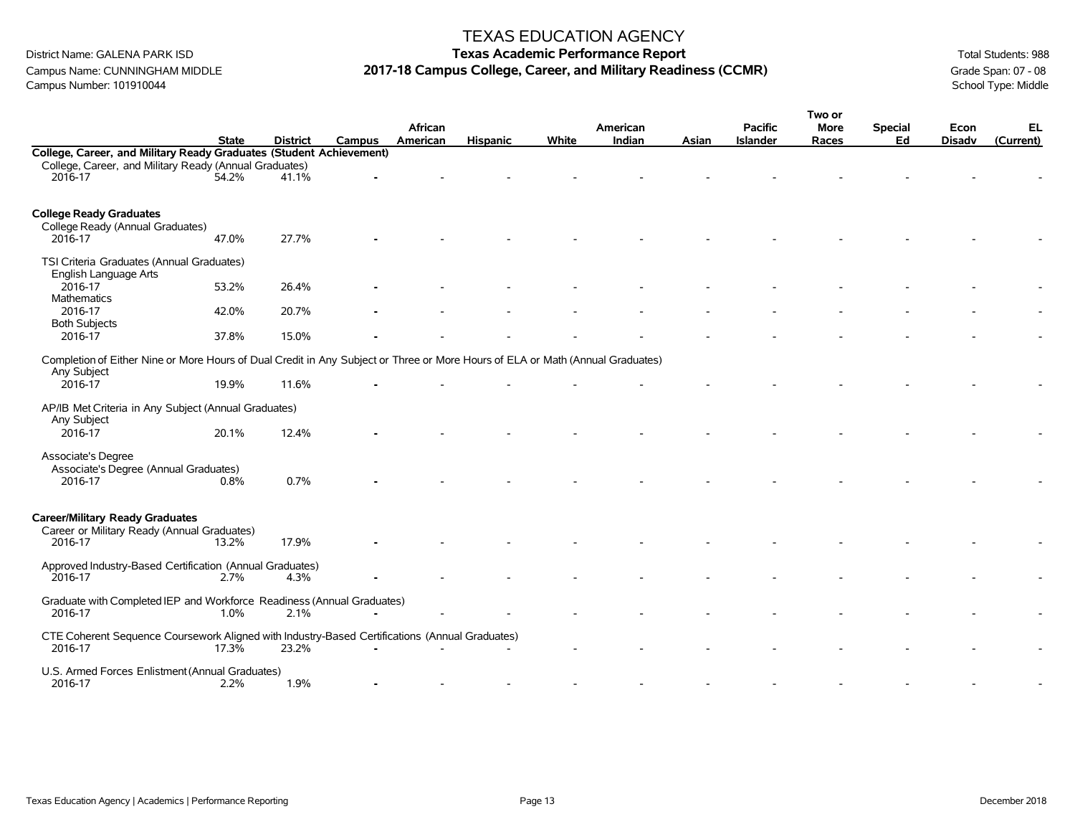District Name: GALENA PARK ISD **Texas Academic Performance Report Texas Academic Performance Report Total Students: 988** Campus Name: CUNNINGHAM MIDDLE **2017-18 Campus College, Career, and Military Readiness (CCMR)** Grade Span: 07 - 08<br>Campus Number: 101910044 School Type: Middle Campus Number: 101910044

|                                                                                                                                |              |                 |        |          |                 |       |          |       |                 | Two or      |                |               |           |
|--------------------------------------------------------------------------------------------------------------------------------|--------------|-----------------|--------|----------|-----------------|-------|----------|-------|-----------------|-------------|----------------|---------------|-----------|
|                                                                                                                                |              |                 |        | African  |                 |       | American |       | <b>Pacific</b>  | <b>More</b> | <b>Special</b> | Econ          | EL        |
|                                                                                                                                | <b>State</b> | <b>District</b> | Campus | American | <b>Hispanic</b> | White | Indian   | Asian | <b>Islander</b> | Races       | Ed             | <b>Disadv</b> | (Current) |
| College, Career, and Military Ready Graduates (Student Achievement)                                                            |              |                 |        |          |                 |       |          |       |                 |             |                |               |           |
| College, Career, and Military Ready (Annual Graduates)                                                                         |              |                 |        |          |                 |       |          |       |                 |             |                |               |           |
| 2016-17                                                                                                                        | 54.2%        | 41.1%           |        |          |                 |       |          |       |                 |             |                |               |           |
|                                                                                                                                |              |                 |        |          |                 |       |          |       |                 |             |                |               |           |
| <b>College Ready Graduates</b>                                                                                                 |              |                 |        |          |                 |       |          |       |                 |             |                |               |           |
| College Ready (Annual Graduates)                                                                                               |              |                 |        |          |                 |       |          |       |                 |             |                |               |           |
| 2016-17                                                                                                                        | 47.0%        | 27.7%           |        |          |                 |       |          |       |                 |             |                |               |           |
| TSI Criteria Graduates (Annual Graduates)                                                                                      |              |                 |        |          |                 |       |          |       |                 |             |                |               |           |
| English Language Arts                                                                                                          |              |                 |        |          |                 |       |          |       |                 |             |                |               |           |
| 2016-17                                                                                                                        | 53.2%        | 26.4%           |        |          |                 |       |          |       |                 |             |                |               |           |
| Mathematics                                                                                                                    |              |                 |        |          |                 |       |          |       |                 |             |                |               |           |
| 2016-17                                                                                                                        | 42.0%        | 20.7%           |        |          |                 |       |          |       |                 |             |                |               |           |
| <b>Both Subjects</b>                                                                                                           |              |                 |        |          |                 |       |          |       |                 |             |                |               |           |
| 2016-17                                                                                                                        | 37.8%        | 15.0%           |        |          |                 |       |          |       |                 |             |                |               |           |
| Completion of Either Nine or More Hours of Dual Credit in Any Subject or Three or More Hours of ELA or Math (Annual Graduates) |              |                 |        |          |                 |       |          |       |                 |             |                |               |           |
| Any Subject                                                                                                                    |              |                 |        |          |                 |       |          |       |                 |             |                |               |           |
| 2016-17                                                                                                                        | 19.9%        | 11.6%           |        |          |                 |       |          |       |                 |             |                |               |           |
|                                                                                                                                |              |                 |        |          |                 |       |          |       |                 |             |                |               |           |
| AP/IB Met Criteria in Any Subject (Annual Graduates)                                                                           |              |                 |        |          |                 |       |          |       |                 |             |                |               |           |
| Any Subject                                                                                                                    |              |                 |        |          |                 |       |          |       |                 |             |                |               |           |
| 2016-17                                                                                                                        | 20.1%        | 12.4%           |        |          |                 |       |          |       |                 |             |                |               |           |
| Associate's Degree                                                                                                             |              |                 |        |          |                 |       |          |       |                 |             |                |               |           |
| Associate's Degree (Annual Graduates)                                                                                          |              |                 |        |          |                 |       |          |       |                 |             |                |               |           |
| 2016-17                                                                                                                        | 0.8%         | 0.7%            |        |          |                 |       |          |       |                 |             |                |               |           |
|                                                                                                                                |              |                 |        |          |                 |       |          |       |                 |             |                |               |           |
|                                                                                                                                |              |                 |        |          |                 |       |          |       |                 |             |                |               |           |
| <b>Career/Military Ready Graduates</b>                                                                                         |              |                 |        |          |                 |       |          |       |                 |             |                |               |           |
| Career or Military Ready (Annual Graduates)<br>2016-17                                                                         | 13.2%        | 17.9%           |        |          |                 |       |          |       |                 |             |                |               |           |
|                                                                                                                                |              |                 |        |          |                 |       |          |       |                 |             |                |               |           |
| Approved Industry-Based Certification (Annual Graduates)                                                                       |              |                 |        |          |                 |       |          |       |                 |             |                |               |           |
| 2016-17                                                                                                                        | 2.7%         | 4.3%            |        |          |                 |       |          |       |                 |             |                |               |           |
| Graduate with Completed IEP and Workforce Readiness (Annual Graduates)                                                         |              |                 |        |          |                 |       |          |       |                 |             |                |               |           |
| 2016-17                                                                                                                        | 1.0%         | 2.1%            |        |          |                 |       |          |       |                 |             |                |               |           |
|                                                                                                                                |              |                 |        |          |                 |       |          |       |                 |             |                |               |           |
| CTE Coherent Sequence Coursework Aligned with Industry-Based Certifications (Annual Graduates)                                 |              |                 |        |          |                 |       |          |       |                 |             |                |               |           |
| 2016-17                                                                                                                        | 17.3%        | 23.2%           |        |          |                 |       |          |       |                 |             |                |               |           |
| U.S. Armed Forces Enlistment (Annual Graduates)                                                                                |              |                 |        |          |                 |       |          |       |                 |             |                |               |           |
| 2016-17                                                                                                                        | 2.2%         | 1.9%            |        |          |                 |       |          |       |                 |             |                |               |           |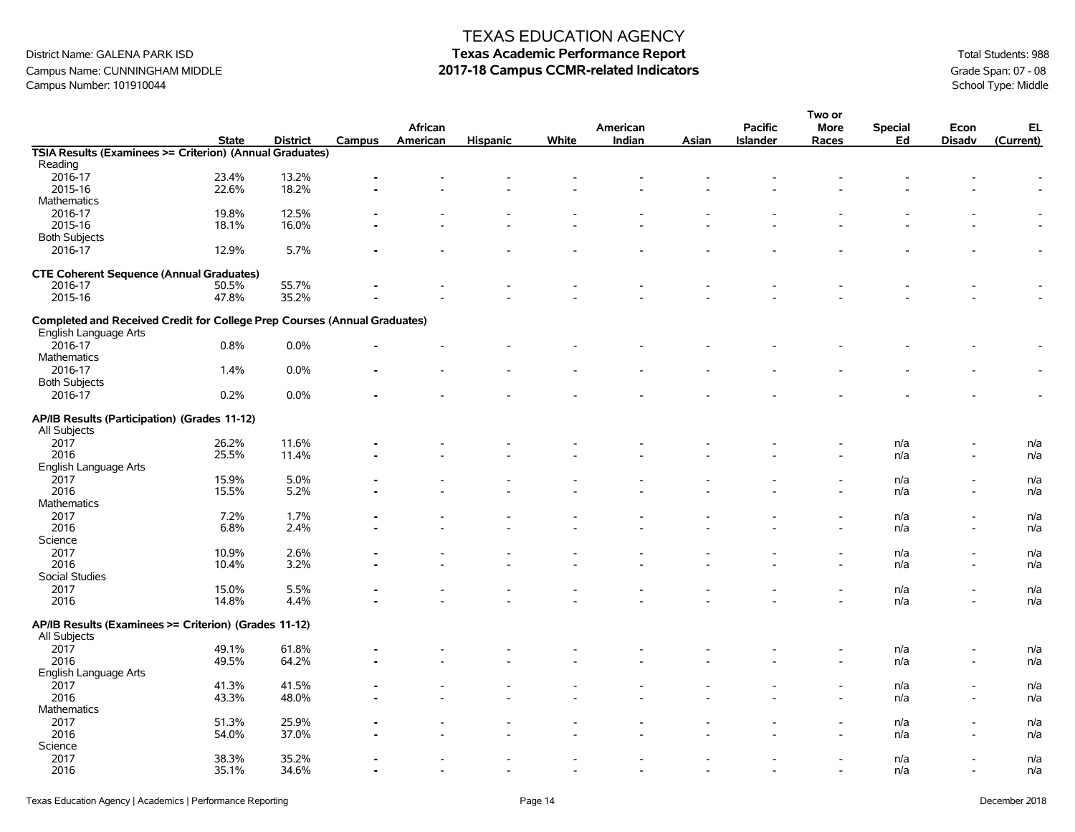Campus Name: CUNNINGHAM MIDDLE **2017-18 Campus CCMR-related Indicators** Campus Number: 101910044 Grade Span: 07 - 08<br>Campus Number: 101910044 School Type: Middle Campus Number: 101910044

|                                                                           |              |                 |        |          |                          |       |                          |       |                          | Two or                   |                |                          |           |
|---------------------------------------------------------------------------|--------------|-----------------|--------|----------|--------------------------|-------|--------------------------|-------|--------------------------|--------------------------|----------------|--------------------------|-----------|
|                                                                           |              |                 |        | African  |                          |       | American                 |       | <b>Pacific</b>           | <b>More</b>              | <b>Special</b> | Econ                     | EL        |
|                                                                           | <b>State</b> | <b>District</b> | Campus | American | <b>Hispanic</b>          | White | Indian                   | Asian | <b>Islander</b>          | Races                    | Ed             | <b>Disadv</b>            | (Current) |
| TSIA Results (Examinees >= Criterion) (Annual Graduates)                  |              |                 |        |          |                          |       |                          |       |                          |                          |                |                          |           |
| Reading                                                                   |              |                 |        |          |                          |       |                          |       |                          |                          |                |                          |           |
| 2016-17                                                                   | 23.4%        | 13.2%           |        |          |                          |       |                          |       |                          |                          |                |                          |           |
| 2015-16                                                                   | 22.6%        | 18.2%           |        |          |                          |       |                          |       |                          |                          |                |                          |           |
| Mathematics                                                               |              |                 |        |          |                          |       |                          |       |                          |                          |                |                          |           |
| 2016-17                                                                   | 19.8%        | 12.5%           |        |          |                          |       |                          |       |                          |                          |                |                          |           |
| 2015-16                                                                   | 18.1%        | 16.0%           |        |          |                          |       |                          |       |                          |                          |                |                          |           |
| <b>Both Subjects</b>                                                      |              |                 |        |          |                          |       |                          |       |                          |                          |                |                          |           |
| 2016-17                                                                   | 12.9%        | 5.7%            |        |          |                          |       |                          |       |                          |                          |                |                          |           |
|                                                                           |              |                 |        |          |                          |       |                          |       |                          |                          |                |                          |           |
| <b>CTE Coherent Sequence (Annual Graduates)</b>                           |              |                 |        |          |                          |       |                          |       |                          |                          |                |                          |           |
| 2016-17                                                                   | 50.5%        | 55.7%           |        |          |                          |       |                          |       |                          |                          |                |                          |           |
| 2015-16                                                                   | 47.8%        | 35.2%           |        |          |                          |       |                          |       |                          |                          |                |                          |           |
|                                                                           |              |                 |        |          |                          |       |                          |       |                          |                          |                |                          |           |
| Completed and Received Credit for College Prep Courses (Annual Graduates) |              |                 |        |          |                          |       |                          |       |                          |                          |                |                          |           |
| English Language Arts                                                     |              |                 |        |          |                          |       |                          |       |                          |                          |                |                          |           |
| 2016-17                                                                   | 0.8%         | 0.0%            |        |          |                          |       |                          |       |                          |                          |                |                          |           |
| Mathematics                                                               |              |                 |        |          |                          |       |                          |       |                          |                          |                |                          |           |
|                                                                           |              |                 |        |          |                          |       |                          |       |                          |                          |                |                          |           |
| 2016-17                                                                   | 1.4%         | 0.0%            |        |          |                          |       |                          |       |                          |                          |                |                          |           |
| <b>Both Subjects</b>                                                      |              |                 |        |          |                          |       |                          |       |                          |                          |                |                          |           |
| 2016-17                                                                   | 0.2%         | 0.0%            |        |          |                          |       |                          |       |                          |                          |                |                          |           |
| AP/IB Results (Participation) (Grades 11-12)                              |              |                 |        |          |                          |       |                          |       |                          |                          |                |                          |           |
| All Subjects                                                              |              |                 |        |          |                          |       |                          |       |                          |                          |                |                          |           |
|                                                                           |              |                 |        |          |                          |       |                          |       |                          |                          |                |                          |           |
| 2017                                                                      | 26.2%        | 11.6%           |        |          |                          |       |                          |       |                          |                          | n/a            |                          | n/a       |
| 2016                                                                      | 25.5%        | 11.4%           |        |          |                          |       |                          |       |                          |                          | n/a            |                          | n/a       |
| English Language Arts                                                     |              |                 |        |          |                          |       |                          |       |                          |                          |                |                          |           |
| 2017                                                                      | 15.9%        | 5.0%            |        |          |                          |       |                          |       |                          |                          | n/a            |                          | n/a       |
| 2016                                                                      | 15.5%        | 5.2%            |        |          |                          |       |                          |       |                          |                          | n/a            | $\overline{\phantom{a}}$ | n/a       |
| Mathematics                                                               |              |                 |        |          |                          |       |                          |       |                          |                          |                |                          |           |
| 2017                                                                      | 7.2%         | 1.7%            |        |          |                          |       |                          |       |                          |                          | n/a            | $\overline{\phantom{a}}$ | n/a       |
| 2016                                                                      | 6.8%         | 2.4%            |        |          |                          |       |                          |       |                          |                          | n/a            | $\overline{\phantom{a}}$ | n/a       |
| Science                                                                   |              |                 |        |          |                          |       |                          |       |                          |                          |                |                          |           |
| 2017                                                                      | 10.9%        | 2.6%            |        |          |                          |       |                          |       |                          |                          | n/a            |                          | n/a       |
| 2016                                                                      | 10.4%        | 3.2%            |        |          |                          |       |                          |       |                          |                          | n/a            | $\overline{\phantom{a}}$ | n/a       |
| Social Studies                                                            |              |                 |        |          |                          |       |                          |       |                          |                          |                |                          |           |
| 2017                                                                      | 15.0%        | 5.5%            |        |          |                          |       |                          |       |                          |                          | n/a            |                          | n/a       |
| 2016                                                                      | 14.8%        | 4.4%            |        |          |                          |       |                          |       |                          |                          | n/a            |                          | n/a       |
|                                                                           |              |                 |        |          |                          |       |                          |       |                          |                          |                |                          |           |
| AP/IB Results (Examinees >= Criterion) (Grades 11-12)                     |              |                 |        |          |                          |       |                          |       |                          |                          |                |                          |           |
| All Subjects                                                              |              |                 |        |          |                          |       |                          |       |                          |                          |                |                          |           |
| 2017                                                                      | 49.1%        | 61.8%           |        |          |                          |       |                          |       |                          |                          | n/a            |                          | n/a       |
| 2016                                                                      | 49.5%        | 64.2%           |        |          |                          |       |                          |       |                          |                          | n/a            |                          | n/a       |
| English Language Arts                                                     |              |                 |        |          |                          |       |                          |       |                          |                          |                |                          |           |
|                                                                           |              |                 |        |          |                          |       |                          |       |                          |                          |                |                          |           |
| 2017                                                                      | 41.3%        | 41.5%           |        |          |                          |       |                          |       |                          |                          | n/a            |                          | n/a       |
| 2016                                                                      | 43.3%        | 48.0%           |        |          |                          |       |                          |       |                          |                          | n/a            | $\overline{\phantom{a}}$ | n/a       |
| Mathematics                                                               |              |                 |        |          |                          |       |                          |       |                          |                          |                |                          |           |
| 2017                                                                      | 51.3%        | 25.9%           |        |          |                          |       |                          |       |                          |                          | n/a            |                          | n/a       |
| 2016                                                                      | 54.0%        | 37.0%           |        |          |                          |       |                          |       |                          |                          | n/a            |                          | n/a       |
| Science                                                                   |              |                 |        |          |                          |       |                          |       |                          |                          |                |                          |           |
| 2017                                                                      | 38.3%        | 35.2%           |        |          |                          |       |                          |       |                          |                          | n/a            |                          | n/a       |
| 2016                                                                      | 35.1%        | 34.6%           |        |          | $\overline{\phantom{a}}$ |       | $\overline{\phantom{a}}$ |       | $\overline{\phantom{a}}$ | $\overline{\phantom{a}}$ | n/a            | $\overline{\phantom{a}}$ | n/a       |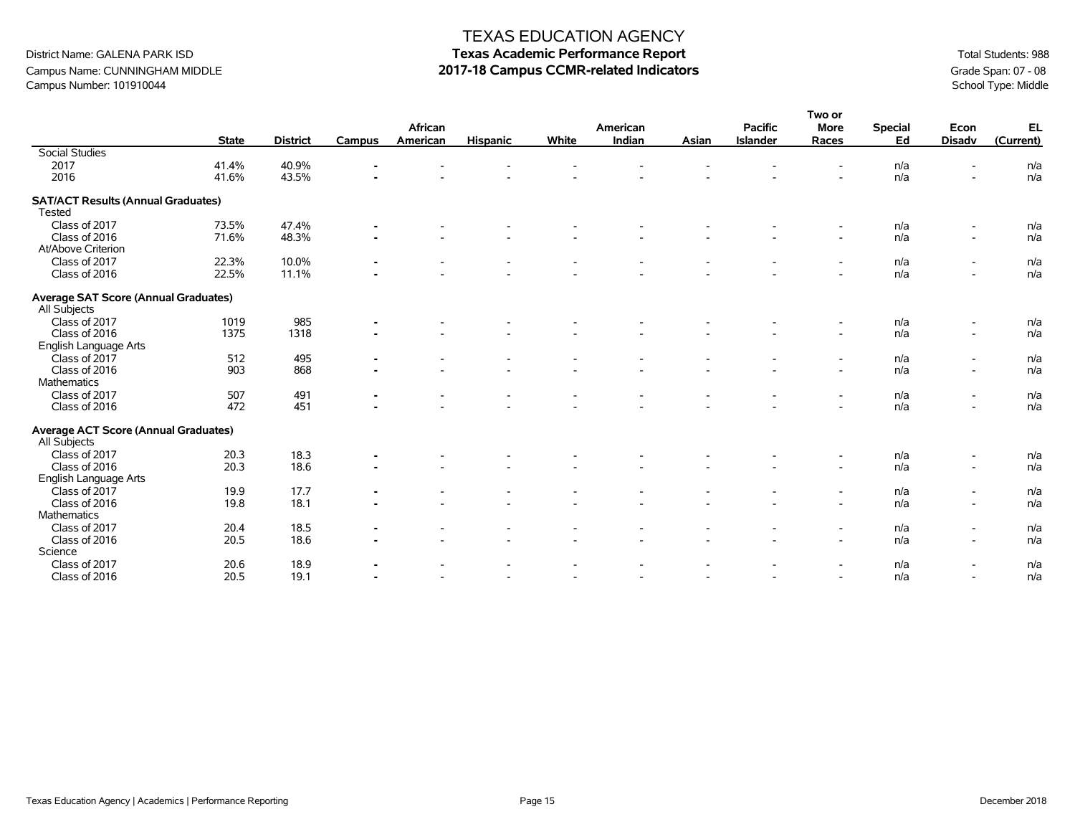#### District Name: GALENA PARK ISD **Texas Academic Performance Report Texas Academic Performance Report Total Students: 988** Campus Name: CUNNINGHAM MIDDLE **2017-18 Campus CCMR-related Indicators** Campus Number: 101910044 Grade Span: 07 - 08<br>Campus Number: 101910044 School Type: Middle Campus Number: 101910044

**Two or** 

|                                                             |              |                 |                |                     |                          |       |                    |       |                                   | ו שטו                    |                      |                          |                 |
|-------------------------------------------------------------|--------------|-----------------|----------------|---------------------|--------------------------|-------|--------------------|-------|-----------------------------------|--------------------------|----------------------|--------------------------|-----------------|
|                                                             | <b>State</b> | <b>District</b> | Campus         | African<br>American | <b>Hispanic</b>          | White | American<br>Indian | Asian | <b>Pacific</b><br><b>Islander</b> | <b>More</b><br>Races     | <b>Special</b><br>Ed | Econ<br><b>Disadv</b>    | EL<br>(Current) |
| <b>Social Studies</b>                                       |              |                 |                |                     |                          |       |                    |       |                                   |                          |                      |                          |                 |
| 2017                                                        | 41.4%        | 40.9%           |                |                     |                          |       |                    |       |                                   |                          | n/a                  |                          | n/a             |
| 2016                                                        | 41.6%        | 43.5%           |                |                     |                          |       |                    |       |                                   |                          | n/a                  |                          | n/a             |
|                                                             |              |                 |                |                     |                          |       |                    |       |                                   |                          |                      |                          |                 |
| <b>SAT/ACT Results (Annual Graduates)</b><br>Tested         |              |                 |                |                     |                          |       |                    |       |                                   |                          |                      |                          |                 |
| Class of 2017                                               | 73.5%        | 47.4%           |                |                     |                          |       |                    |       |                                   |                          | n/a                  |                          | n/a             |
| Class of 2016                                               | 71.6%        | 48.3%           | $\blacksquare$ |                     |                          |       |                    |       |                                   | $\sim$                   | n/a                  | $\blacksquare$           | n/a             |
| At/Above Criterion                                          |              |                 |                |                     |                          |       |                    |       |                                   |                          |                      |                          |                 |
| Class of 2017                                               | 22.3%        | 10.0%           | $\blacksquare$ |                     |                          |       |                    |       |                                   | $\overline{\phantom{a}}$ | n/a                  | $\overline{\phantom{a}}$ | n/a             |
| Class of 2016                                               | 22.5%        | 11.1%           |                |                     |                          |       |                    |       |                                   |                          | n/a                  | $\overline{\phantom{a}}$ | n/a             |
| <b>Average SAT Score (Annual Graduates)</b><br>All Subjects |              |                 |                |                     |                          |       |                    |       |                                   |                          |                      |                          |                 |
| Class of 2017                                               | 1019         | 985             |                |                     |                          |       |                    |       |                                   |                          | n/a                  |                          | n/a             |
| Class of 2016                                               | 1375         | 1318            |                |                     |                          |       |                    |       |                                   |                          | n/a                  | $\blacksquare$           | n/a             |
| English Language Arts                                       |              |                 |                |                     |                          |       |                    |       |                                   |                          |                      |                          |                 |
| Class of 2017                                               | 512          | 495             |                |                     |                          |       |                    |       |                                   |                          | n/a                  | $\overline{\phantom{a}}$ | n/a             |
| Class of 2016                                               | 903          | 868             |                |                     |                          |       |                    |       |                                   |                          | n/a                  | $\overline{\phantom{a}}$ | n/a             |
| Mathematics                                                 |              |                 |                |                     |                          |       |                    |       |                                   |                          |                      |                          |                 |
| Class of 2017                                               | 507          | 491             |                |                     |                          |       |                    |       |                                   | $\overline{\phantom{a}}$ | n/a                  | $\blacksquare$           | n/a             |
| Class of 2016                                               | 472          | 451             | $\blacksquare$ |                     |                          |       |                    |       |                                   | $\overline{\phantom{a}}$ | n/a                  | $\overline{\phantom{a}}$ | n/a             |
| <b>Average ACT Score (Annual Graduates)</b>                 |              |                 |                |                     |                          |       |                    |       |                                   |                          |                      |                          |                 |
| All Subjects                                                |              |                 |                |                     |                          |       |                    |       |                                   |                          |                      |                          |                 |
| Class of 2017                                               | 20.3         | 18.3            |                |                     |                          |       |                    |       |                                   | $\overline{\phantom{a}}$ | n/a                  | $\overline{\phantom{a}}$ | n/a             |
| Class of 2016                                               | 20.3         | 18.6            |                |                     |                          |       |                    |       |                                   | $\overline{\phantom{a}}$ | n/a                  | $\overline{\phantom{a}}$ | n/a             |
| English Language Arts                                       |              |                 |                |                     |                          |       |                    |       |                                   |                          |                      |                          |                 |
| Class of 2017                                               | 19.9         | 17.7            |                |                     |                          |       |                    |       |                                   |                          | n/a                  | $\overline{\phantom{a}}$ | n/a             |
| Class of 2016                                               | 19.8         | 18.1            |                |                     | $\overline{\phantom{a}}$ |       |                    |       |                                   | $\overline{\phantom{a}}$ | n/a                  | $\blacksquare$           | n/a             |
| Mathematics                                                 |              |                 |                |                     |                          |       |                    |       |                                   |                          |                      |                          |                 |
| Class of 2017                                               | 20.4         | 18.5            |                |                     |                          |       |                    |       |                                   |                          | n/a                  | $\overline{\phantom{a}}$ | n/a             |
| Class of 2016                                               | 20.5         | 18.6            |                |                     | $\overline{\phantom{a}}$ |       | $\overline{a}$     |       |                                   | $\overline{\phantom{a}}$ | n/a                  | $\blacksquare$           | n/a             |
| Science                                                     |              |                 |                |                     |                          |       |                    |       |                                   |                          |                      |                          |                 |
| Class of 2017                                               | 20.6         | 18.9            |                |                     |                          |       |                    |       |                                   | $\overline{\phantom{a}}$ | n/a                  | $\overline{\phantom{a}}$ | n/a             |
| Class of 2016                                               | 20.5         | 19.1            |                |                     | $\overline{\phantom{a}}$ |       |                    |       |                                   | $\overline{\phantom{a}}$ | n/a                  | $\blacksquare$           | n/a             |
|                                                             |              |                 |                |                     |                          |       |                    |       |                                   |                          |                      |                          |                 |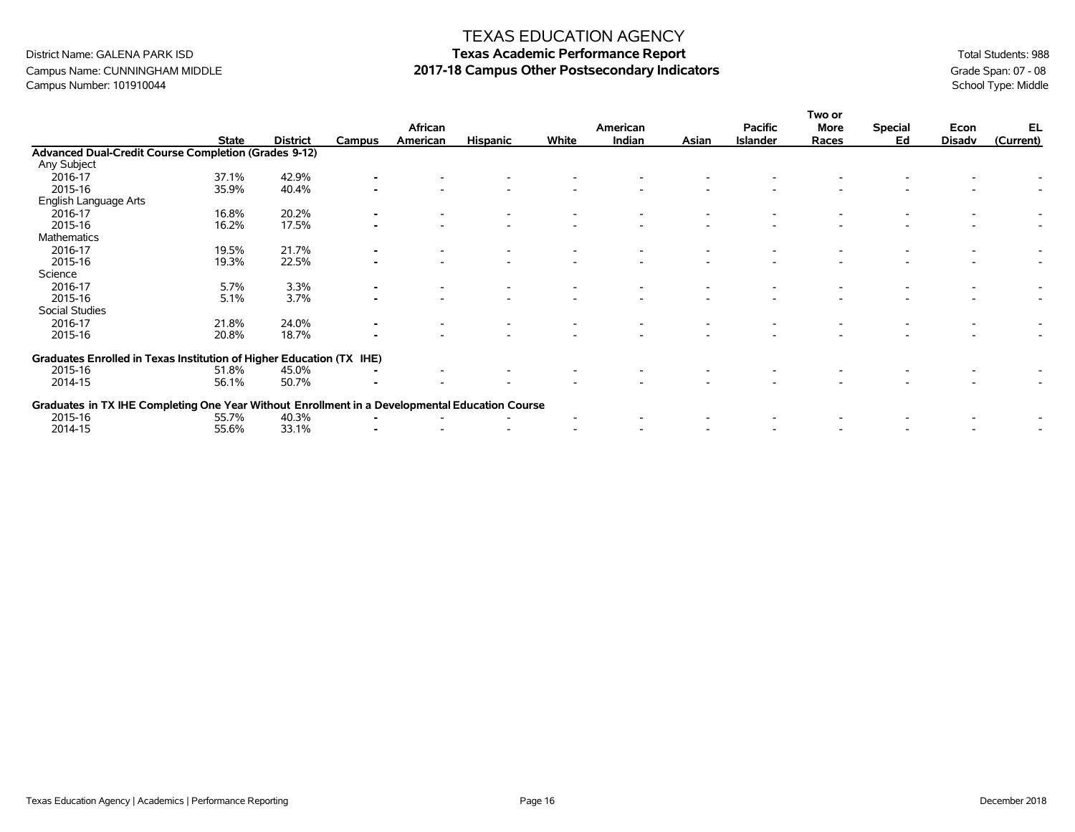Campus Name: CUNNINGHAM MIDDLE **2017-18 Campus Other Postsecondary Indicators** Grame 3 Cande Span: 07 - 08 Campus Number: 101910044 School Type: Middle Campus Number: 101910044

|                                                                                                |              |                 | African        |          |                 | American |        | <b>Pacific</b> | More            | <b>Special</b> | Econ | EL            |           |
|------------------------------------------------------------------------------------------------|--------------|-----------------|----------------|----------|-----------------|----------|--------|----------------|-----------------|----------------|------|---------------|-----------|
|                                                                                                | <b>State</b> | <b>District</b> | Campus         | American | <b>Hispanic</b> | White    | Indian | Asian          | <b>Islander</b> | Races          | Ed   | <b>Disadv</b> | (Current) |
| Advanced Dual-Credit Course Completion (Grades 9-12)                                           |              |                 |                |          |                 |          |        |                |                 |                |      |               |           |
| Any Subject                                                                                    |              |                 |                |          |                 |          |        |                |                 |                |      |               |           |
| 2016-17                                                                                        | 37.1%        | 42.9%           |                |          |                 |          |        |                |                 |                |      |               |           |
| 2015-16                                                                                        | 35.9%        | 40.4%           |                |          |                 |          |        |                |                 |                |      |               |           |
| English Language Arts                                                                          |              |                 |                |          |                 |          |        |                |                 |                |      |               |           |
| 2016-17                                                                                        | 16.8%        | 20.2%           |                |          |                 |          |        |                |                 |                |      |               |           |
| 2015-16                                                                                        | 16.2%        | 17.5%           |                |          |                 |          |        |                |                 |                |      |               |           |
| Mathematics                                                                                    |              |                 |                |          |                 |          |        |                |                 |                |      |               |           |
| 2016-17                                                                                        | 19.5%        | 21.7%           |                |          |                 |          |        |                |                 |                |      |               |           |
| 2015-16                                                                                        | 19.3%        | 22.5%           |                |          |                 |          |        |                |                 |                |      |               |           |
| Science                                                                                        |              |                 |                |          |                 |          |        |                |                 |                |      |               |           |
| 2016-17                                                                                        | 5.7%         | 3.3%            |                |          |                 |          |        |                |                 |                |      |               |           |
| 2015-16                                                                                        | 5.1%         | 3.7%            |                |          |                 |          |        |                |                 |                |      |               |           |
| Social Studies                                                                                 |              |                 |                |          |                 |          |        |                |                 |                |      |               |           |
| 2016-17                                                                                        | 21.8%        | 24.0%           | $\blacksquare$ |          |                 |          |        |                |                 |                |      |               |           |
| 2015-16                                                                                        | 20.8%        | 18.7%           |                |          |                 |          |        |                |                 |                |      |               |           |
| Graduates Enrolled in Texas Institution of Higher Education (TX IHE)                           |              |                 |                |          |                 |          |        |                |                 |                |      |               |           |
| 2015-16                                                                                        | 51.8%        | 45.0%           |                |          |                 |          |        |                |                 |                |      |               |           |
| 2014-15                                                                                        | 56.1%        | 50.7%           |                |          |                 |          |        |                |                 |                |      |               |           |
| Graduates in TX IHE Completing One Year Without Enrollment in a Developmental Education Course |              |                 |                |          |                 |          |        |                |                 |                |      |               |           |
| 2015-16                                                                                        | 55.7%        | 40.3%           |                |          |                 |          |        |                |                 |                |      |               |           |
| 2014-15                                                                                        | 55.6%        | 33.1%           |                |          |                 |          |        |                |                 |                |      |               |           |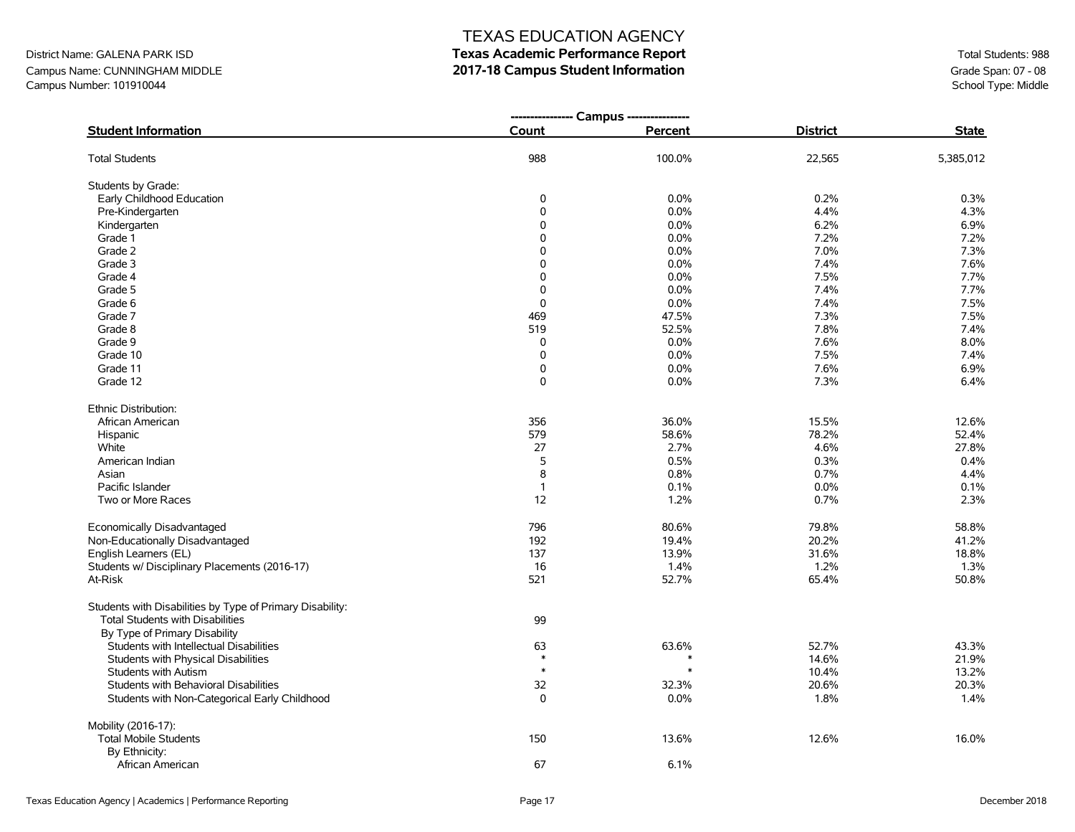#### District Name: GALENA PARK ISD Campus Name: CUNNINGHAM MIDDLE Campus Number: 101910044

# TEXAS EDUCATION AGENCY

#### **Texas Academic Performance Report 2017-18 Campus Student Information**

|                                                           | ---------------- Campus ---------------- |         |                 |              |
|-----------------------------------------------------------|------------------------------------------|---------|-----------------|--------------|
| <b>Student Information</b>                                | Count                                    | Percent | <b>District</b> | <b>State</b> |
| <b>Total Students</b>                                     | 988                                      | 100.0%  | 22,565          | 5,385,012    |
| Students by Grade:                                        |                                          |         |                 |              |
| Early Childhood Education                                 | 0                                        | 0.0%    | 0.2%            | 0.3%         |
| Pre-Kindergarten                                          | $\pmb{0}$                                | 0.0%    | 4.4%            | 4.3%         |
| Kindergarten                                              | $\Omega$                                 | 0.0%    | 6.2%            | 6.9%         |
| Grade 1                                                   | $\Omega$                                 | 0.0%    | 7.2%            | 7.2%         |
| Grade 2                                                   | $\Omega$                                 | 0.0%    | 7.0%            | 7.3%         |
| Grade 3                                                   | $\mathbf 0$                              | 0.0%    | 7.4%            | 7.6%         |
| Grade 4                                                   | $\mathbf 0$                              | 0.0%    | 7.5%            | 7.7%         |
| Grade 5                                                   | $\mathbf 0$                              | 0.0%    | 7.4%            | 7.7%         |
| Grade 6                                                   | $\pmb{0}$                                | 0.0%    | 7.4%            | 7.5%         |
| Grade 7                                                   | 469                                      | 47.5%   | 7.3%            | 7.5%         |
| Grade 8                                                   | 519                                      | 52.5%   | 7.8%            | 7.4%         |
| Grade 9                                                   | 0                                        | 0.0%    | 7.6%            | 8.0%         |
| Grade 10                                                  | $\mathbf 0$                              | 0.0%    | 7.5%            | 7.4%         |
| Grade 11                                                  | 0                                        | 0.0%    | 7.6%            | 6.9%         |
| Grade 12                                                  | 0                                        | 0.0%    | 7.3%            | 6.4%         |
| Ethnic Distribution:                                      |                                          |         |                 |              |
| African American                                          | 356                                      | 36.0%   | 15.5%           | 12.6%        |
| Hispanic                                                  | 579                                      | 58.6%   | 78.2%           | 52.4%        |
| White                                                     | 27                                       | 2.7%    | 4.6%            | 27.8%        |
| American Indian                                           | 5                                        | 0.5%    | 0.3%            | 0.4%         |
| Asian                                                     | 8                                        | 0.8%    | 0.7%            | 4.4%         |
| Pacific Islander                                          | $\mathbf{1}$                             | 0.1%    | 0.0%            | 0.1%         |
| Two or More Races                                         | 12                                       | 1.2%    | 0.7%            | 2.3%         |
| Economically Disadvantaged                                | 796                                      | 80.6%   | 79.8%           | 58.8%        |
| Non-Educationally Disadvantaged                           | 192                                      | 19.4%   | 20.2%           | 41.2%        |
| English Learners (EL)                                     | 137                                      | 13.9%   | 31.6%           | 18.8%        |
| Students w/ Disciplinary Placements (2016-17)             | 16                                       | 1.4%    | 1.2%            | 1.3%         |
| At-Risk                                                   | 521                                      | 52.7%   | 65.4%           | 50.8%        |
| Students with Disabilities by Type of Primary Disability: |                                          |         |                 |              |
| Total Students with Disabilities                          | 99                                       |         |                 |              |
| By Type of Primary Disability                             |                                          |         |                 |              |
| Students with Intellectual Disabilities                   | 63                                       | 63.6%   | 52.7%           | 43.3%        |
| Students with Physical Disabilities                       | $\ast$                                   | $\ast$  | 14.6%           | 21.9%        |
| <b>Students with Autism</b>                               | $\ast$                                   | $\ast$  | 10.4%           | 13.2%        |
| Students with Behavioral Disabilities                     | 32                                       | 32.3%   | 20.6%           | 20.3%        |
| Students with Non-Categorical Early Childhood             | 0                                        | $0.0\%$ | 1.8%            | 1.4%         |
| Mobility (2016-17):                                       |                                          |         |                 |              |
| <b>Total Mobile Students</b>                              | 150                                      | 13.6%   | 12.6%           | 16.0%        |
| By Ethnicity:                                             |                                          |         |                 |              |
| African American                                          | 67                                       | 6.1%    |                 |              |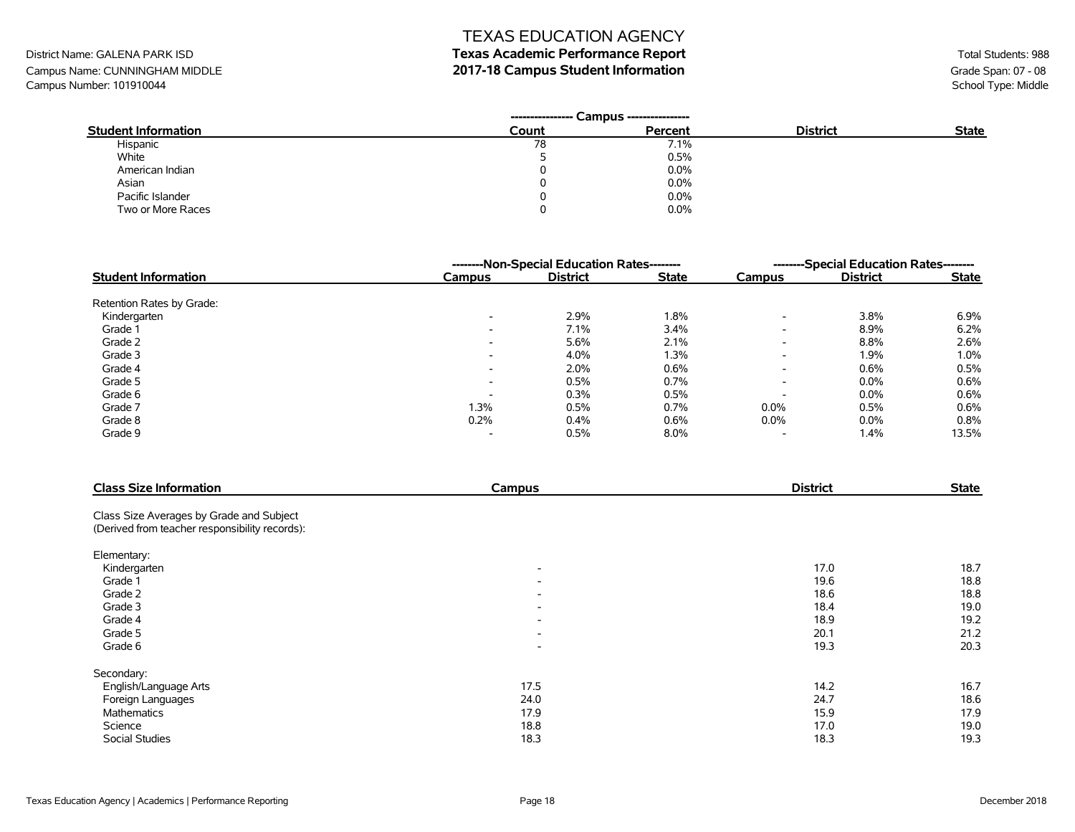#### **Texas Academic Performance Report 2017-18 Campus Student Information**

District Name: GALENA PARK ISD Campus Name: CUNNINGHAM MIDDLE Campus Number: 101910044

|                            | ---------------- | Campus --------------- |                 |              |
|----------------------------|------------------|------------------------|-----------------|--------------|
| <b>Student Information</b> | Count            | Percent                | <b>District</b> | <b>State</b> |
| Hispanic                   | 78               | 7.1%                   |                 |              |
| White                      |                  | 0.5%                   |                 |              |
| American Indian            |                  | 0.0%                   |                 |              |
| Asian                      | 0                | 0.0%                   |                 |              |
| Pacific Islander           | 0                | 0.0%                   |                 |              |
| Two or More Races          | O                | 0.0%                   |                 |              |

|                            | --------Non-Special Education Rates-------- |                 |              | --------Special Education Rates-------- |                 |              |
|----------------------------|---------------------------------------------|-----------------|--------------|-----------------------------------------|-----------------|--------------|
| <b>Student Information</b> | Campus                                      | <b>District</b> | <b>State</b> | Campus                                  | <b>District</b> | <b>State</b> |
| Retention Rates by Grade:  |                                             |                 |              |                                         |                 |              |
| Kindergarten               | $\overline{\phantom{a}}$                    | 2.9%            | 1.8%         | $\overline{\phantom{0}}$                | 3.8%            | 6.9%         |
| Grade 1                    | $\overline{\phantom{a}}$                    | 7.1%            | 3.4%         | $\overline{\phantom{0}}$                | 8.9%            | 6.2%         |
| Grade 2                    | $\overline{\phantom{0}}$                    | 5.6%            | 2.1%         | $\overline{\phantom{0}}$                | 8.8%            | 2.6%         |
| Grade 3                    | ۰                                           | 4.0%            | 1.3%         | $\overline{\phantom{0}}$                | 1.9%            | $1.0\%$      |
| Grade 4                    | $\overline{\phantom{a}}$                    | 2.0%            | 0.6%         | $\overline{\phantom{0}}$                | 0.6%            | 0.5%         |
| Grade 5                    | $\overline{\phantom{0}}$                    | 0.5%            | 0.7%         | $\overline{\phantom{0}}$                | $0.0\%$         | 0.6%         |
| Grade 6                    | $\overline{\phantom{a}}$                    | 0.3%            | 0.5%         | $\overline{\phantom{0}}$                | $0.0\%$         | 0.6%         |
| Grade 7                    | 1.3%                                        | 0.5%            | 0.7%         | $0.0\%$                                 | 0.5%            | 0.6%         |
| Grade 8                    | 0.2%                                        | 0.4%            | 0.6%         | $0.0\%$                                 | $0.0\%$         | 0.8%         |
| Grade 9                    |                                             | 0.5%            | $8.0\%$      |                                         | 1.4%            | 13.5%        |

| <b>Class Size Information</b>                  | Campus                   | <b>District</b> | <b>State</b> |
|------------------------------------------------|--------------------------|-----------------|--------------|
| Class Size Averages by Grade and Subject       |                          |                 |              |
| (Derived from teacher responsibility records): |                          |                 |              |
| Elementary:                                    |                          |                 |              |
| Kindergarten                                   | $\overline{\phantom{a}}$ | 17.0            | 18.7         |
| Grade 1                                        | $\overline{\phantom{a}}$ | 19.6            | 18.8         |
| Grade 2                                        | $\overline{\phantom{a}}$ | 18.6            | 18.8         |
| Grade 3                                        | $\overline{\phantom{a}}$ | 18.4            | 19.0         |
| Grade 4                                        | $\overline{\phantom{a}}$ | 18.9            | 19.2         |
| Grade 5                                        | $\overline{\phantom{a}}$ | 20.1            | 21.2         |
| Grade 6                                        | $\overline{\phantom{a}}$ | 19.3            | 20.3         |
| Secondary:                                     |                          |                 |              |
| English/Language Arts                          | 17.5                     | 14.2            | 16.7         |
| Foreign Languages                              | 24.0                     | 24.7            | 18.6         |
| <b>Mathematics</b>                             | 17.9                     | 15.9            | 17.9         |
| Science                                        | 18.8                     | 17.0            | 19.0         |
| Social Studies                                 | 18.3                     | 18.3            | 19.3         |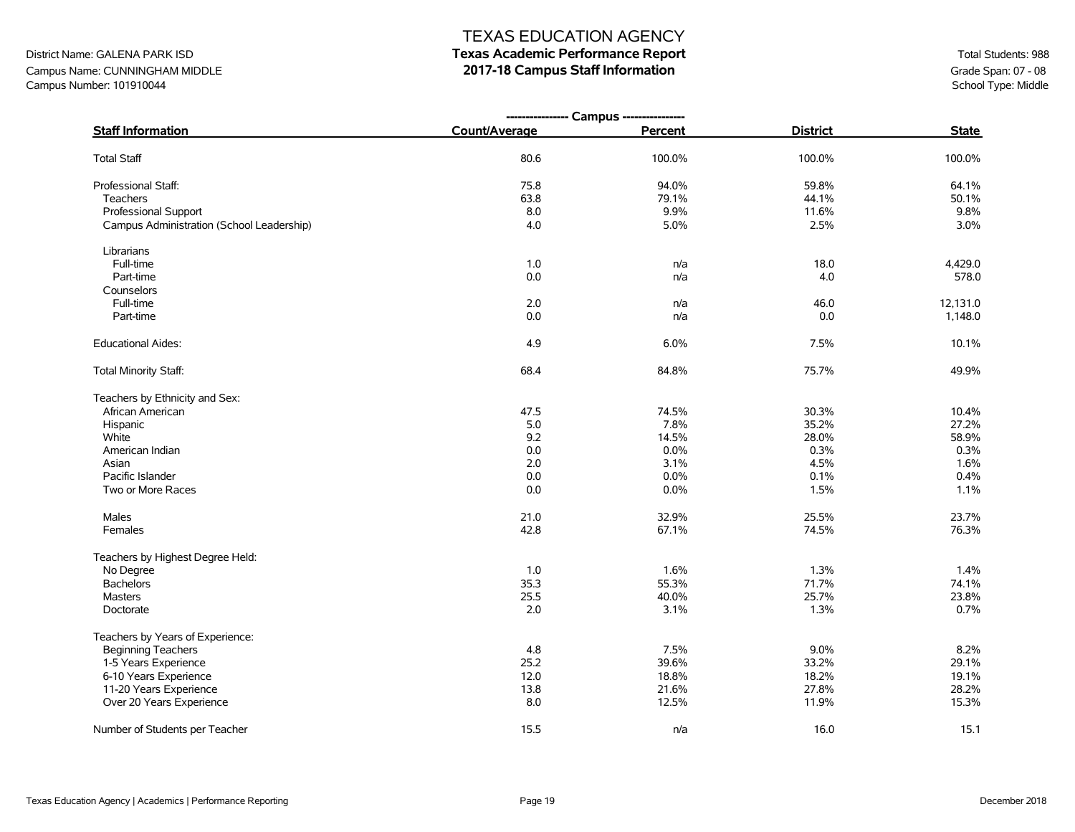# District Name: GALENA PARK ISD **Texas Academic Performance Report Texas Academic Performance Report Total Students: 988**

Campus Name: CUNNINGHAM MIDDLE **2017-18 Campus Staff Information** Campus Number: 101910044 Grade Span: 07 - 08<br>Campus Number: 101910044 School Type: Middle Campus Number: 101910044

|                                           | ---------------- Campus ---------------- |         |                 |              |
|-------------------------------------------|------------------------------------------|---------|-----------------|--------------|
| <b>Staff Information</b>                  | Count/Average                            | Percent | <b>District</b> | <b>State</b> |
| <b>Total Staff</b>                        | 80.6                                     | 100.0%  | 100.0%          | 100.0%       |
| Professional Staff:                       | 75.8                                     | 94.0%   | 59.8%           | 64.1%        |
| Teachers                                  | 63.8                                     | 79.1%   | 44.1%           | 50.1%        |
| Professional Support                      | 8.0                                      | 9.9%    | 11.6%           | 9.8%         |
| Campus Administration (School Leadership) | 4.0                                      | 5.0%    | 2.5%            | 3.0%         |
| Librarians                                |                                          |         |                 |              |
| Full-time                                 | 1.0                                      | n/a     | 18.0            | 4,429.0      |
| Part-time                                 | 0.0                                      | n/a     | 4.0             | 578.0        |
| Counselors                                |                                          |         |                 |              |
| Full-time                                 | 2.0                                      | n/a     | 46.0            | 12,131.0     |
| Part-time                                 | 0.0                                      | n/a     | 0.0             | 1,148.0      |
| <b>Educational Aides:</b>                 | 4.9                                      | 6.0%    | 7.5%            | 10.1%        |
| Total Minority Staff:                     | 68.4                                     | 84.8%   | 75.7%           | 49.9%        |
| Teachers by Ethnicity and Sex:            |                                          |         |                 |              |
| African American                          | 47.5                                     | 74.5%   | 30.3%           | 10.4%        |
| Hispanic                                  | 5.0                                      | 7.8%    | 35.2%           | 27.2%        |
| White                                     | 9.2                                      | 14.5%   | 28.0%           | 58.9%        |
| American Indian                           | 0.0                                      | 0.0%    | 0.3%            | 0.3%         |
| Asian                                     | 2.0                                      | 3.1%    | 4.5%            | 1.6%         |
| Pacific Islander                          | 0.0                                      | 0.0%    | 0.1%            | 0.4%         |
| Two or More Races                         | 0.0                                      | 0.0%    | 1.5%            | 1.1%         |
| Males                                     | 21.0                                     | 32.9%   | 25.5%           | 23.7%        |
| Females                                   | 42.8                                     | 67.1%   | 74.5%           | 76.3%        |
| Teachers by Highest Degree Held:          |                                          |         |                 |              |
| No Degree                                 | 1.0                                      | 1.6%    | 1.3%            | 1.4%         |
| <b>Bachelors</b>                          | 35.3                                     | 55.3%   | 71.7%           | 74.1%        |
| <b>Masters</b>                            | 25.5                                     | 40.0%   | 25.7%           | 23.8%        |
| Doctorate                                 | 2.0                                      | 3.1%    | 1.3%            | 0.7%         |
| Teachers by Years of Experience:          |                                          |         |                 |              |
| <b>Beginning Teachers</b>                 | 4.8                                      | 7.5%    | 9.0%            | 8.2%         |
| 1-5 Years Experience                      | 25.2                                     | 39.6%   | 33.2%           | 29.1%        |
| 6-10 Years Experience                     | 12.0                                     | 18.8%   | 18.2%           | 19.1%        |
| 11-20 Years Experience                    | 13.8                                     | 21.6%   | 27.8%           | 28.2%        |
| Over 20 Years Experience                  | 8.0                                      | 12.5%   | 11.9%           | 15.3%        |
| Number of Students per Teacher            | 15.5                                     | n/a     | 16.0            | 15.1         |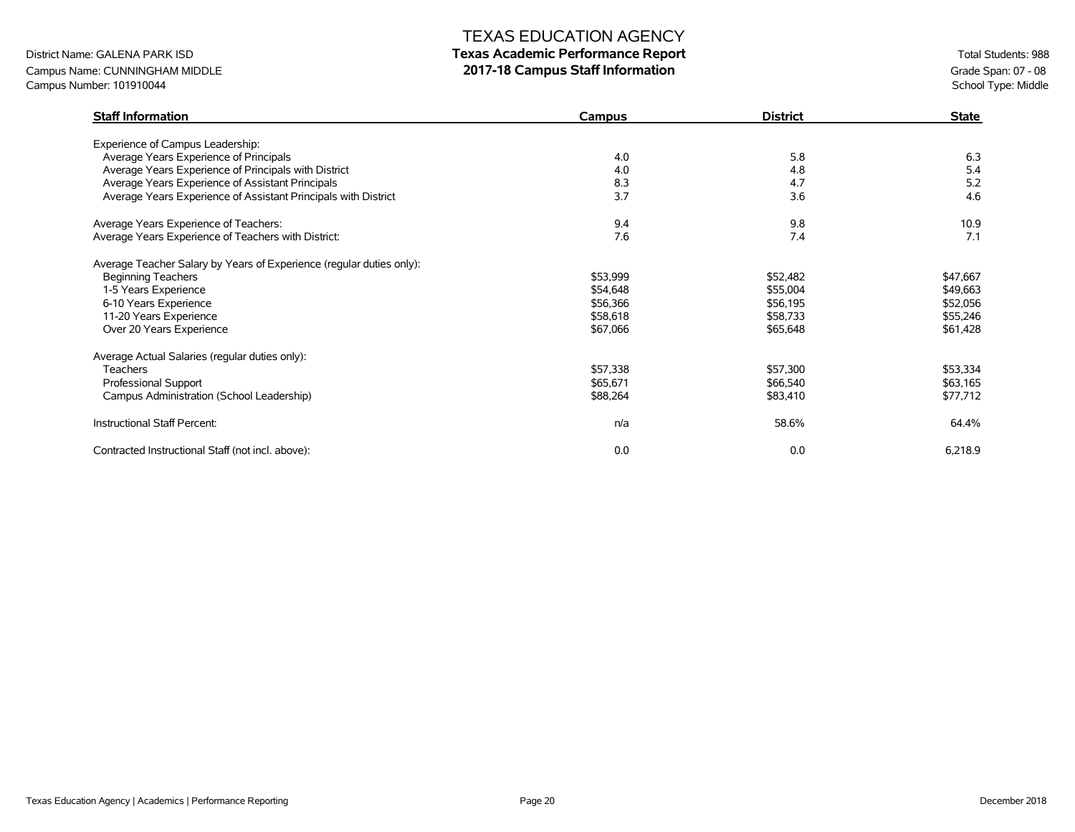# District Name: GALENA PARK ISD **Texas Academic Performance Report Texas Academic Performance Report Total Students: 988**

Campus Name: CUNNINGHAM MIDDLE **2017-18 Campus Staff Information** Campus Number: 101910044 Grade Span: 07 - 08<br>Campus Number: 101910044 School Type: Middle Campus Number: 101910044

| <b>Staff Information</b>                                             | Campus   | <b>District</b> | <b>State</b> |
|----------------------------------------------------------------------|----------|-----------------|--------------|
| Experience of Campus Leadership:                                     |          |                 |              |
| Average Years Experience of Principals                               | 4.0      | 5.8             | 6.3          |
| Average Years Experience of Principals with District                 | 4.0      | 4.8             | 5.4          |
| Average Years Experience of Assistant Principals                     | 8.3      | 4.7             | 5.2          |
| Average Years Experience of Assistant Principals with District       | 3.7      | 3.6             | 4.6          |
| Average Years Experience of Teachers:                                | 9.4      | 9.8             | 10.9         |
| Average Years Experience of Teachers with District:                  | 7.6      | 7.4             | 7.1          |
| Average Teacher Salary by Years of Experience (regular duties only): |          |                 |              |
| <b>Beginning Teachers</b>                                            | \$53,999 | \$52,482        | \$47,667     |
| 1-5 Years Experience                                                 | \$54,648 | \$55,004        | \$49,663     |
| 6-10 Years Experience                                                | \$56,366 | \$56,195        | \$52,056     |
| 11-20 Years Experience                                               | \$58,618 | \$58,733        | \$55,246     |
| Over 20 Years Experience                                             | \$67,066 | \$65,648        | \$61,428     |
| Average Actual Salaries (regular duties only):                       |          |                 |              |
| <b>Teachers</b>                                                      | \$57,338 | \$57,300        | \$53,334     |
| Professional Support                                                 | \$65,671 | \$66,540        | \$63,165     |
| Campus Administration (School Leadership)                            | \$88,264 | \$83,410        | \$77,712     |
| Instructional Staff Percent:                                         | n/a      | 58.6%           | 64.4%        |
| Contracted Instructional Staff (not incl. above):                    | 0.0      | 0.0             | 6,218.9      |